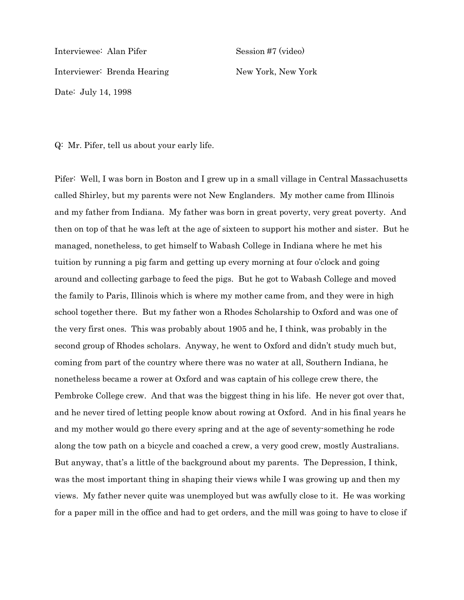Interviewee: Alan Pifer Session #7 (video) Interviewer: Brenda Hearing New York, New York Date: July 14, 1998

Q: Mr. Pifer, tell us about your early life.

Pifer: Well, I was born in Boston and I grew up in a small village in Central Massachusetts called Shirley, but my parents were not New Englanders. My mother came from Illinois and my father from Indiana. My father was born in great poverty, very great poverty. And then on top of that he was left at the age of sixteen to support his mother and sister. But he managed, nonetheless, to get himself to Wabash College in Indiana where he met his tuition by running a pig farm and getting up every morning at four o'clock and going around and collecting garbage to feed the pigs. But he got to Wabash College and moved the family to Paris, Illinois which is where my mother came from, and they were in high school together there. But my father won a Rhodes Scholarship to Oxford and was one of the very first ones. This was probably about 1905 and he, I think, was probably in the second group of Rhodes scholars. Anyway, he went to Oxford and didn't study much but, coming from part of the country where there was no water at all, Southern Indiana, he nonetheless became a rower at Oxford and was captain of his college crew there, the Pembroke College crew. And that was the biggest thing in his life. He never got over that, and he never tired of letting people know about rowing at Oxford. And in his final years he and my mother would go there every spring and at the age of seventy-something he rode along the tow path on a bicycle and coached a crew, a very good crew, mostly Australians. But anyway, that's a little of the background about my parents. The Depression, I think, was the most important thing in shaping their views while I was growing up and then my views. My father never quite was unemployed but was awfully close to it. He was working for a paper mill in the office and had to get orders, and the mill was going to have to close if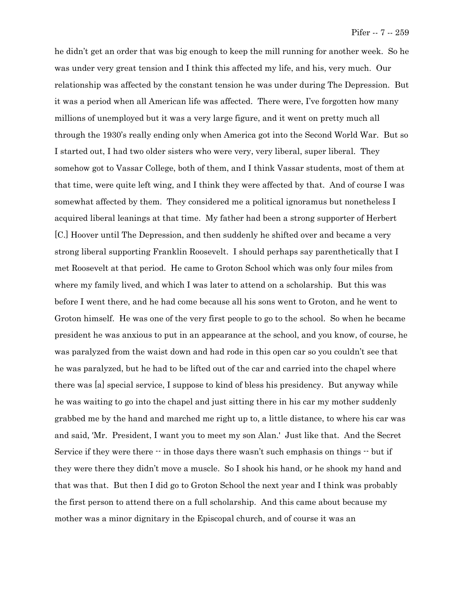he didn't get an order that was big enough to keep the mill running for another week. So he was under very great tension and I think this affected my life, and his, very much. Our relationship was affected by the constant tension he was under during The Depression. But it was a period when all American life was affected. There were, I've forgotten how many millions of unemployed but it was a very large figure, and it went on pretty much all through the 1930's really ending only when America got into the Second World War. But so I started out, I had two older sisters who were very, very liberal, super liberal. They somehow got to Vassar College, both of them, and I think Vassar students, most of them at that time, were quite left wing, and I think they were affected by that. And of course I was somewhat affected by them. They considered me a political ignoramus but nonetheless I acquired liberal leanings at that time. My father had been a strong supporter of Herbert [C.] Hoover until The Depression, and then suddenly he shifted over and became a very strong liberal supporting Franklin Roosevelt. I should perhaps say parenthetically that I met Roosevelt at that period. He came to Groton School which was only four miles from where my family lived, and which I was later to attend on a scholarship. But this was before I went there, and he had come because all his sons went to Groton, and he went to Groton himself. He was one of the very first people to go to the school. So when he became president he was anxious to put in an appearance at the school, and you know, of course, he was paralyzed from the waist down and had rode in this open car so you couldn't see that he was paralyzed, but he had to be lifted out of the car and carried into the chapel where there was [a] special service, I suppose to kind of bless his presidency. But anyway while he was waiting to go into the chapel and just sitting there in his car my mother suddenly grabbed me by the hand and marched me right up to, a little distance, to where his car was and said, 'Mr. President, I want you to meet my son Alan.' Just like that. And the Secret Service if they were there  $\cdot\cdot$  in those days there wasn't such emphasis on things  $\cdot\cdot$  but if they were there they didn't move a muscle. So I shook his hand, or he shook my hand and that was that. But then I did go to Groton School the next year and I think was probably the first person to attend there on a full scholarship. And this came about because my mother was a minor dignitary in the Episcopal church, and of course it was an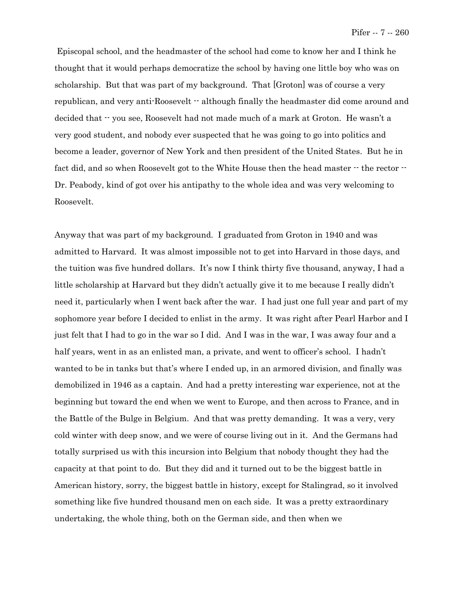Episcopal school, and the headmaster of the school had come to know her and I think he thought that it would perhaps democratize the school by having one little boy who was on scholarship. But that was part of my background. That [Groton] was of course a very republican, and very anti-Roosevelt  $-$  although finally the headmaster did come around and decided that  $\cdot$  you see, Roosevelt had not made much of a mark at Groton. He wasn't a very good student, and nobody ever suspected that he was going to go into politics and become a leader, governor of New York and then president of the United States. But he in fact did, and so when Roosevelt got to the White House then the head master  $\cdot$  the rector  $\cdot$ Dr. Peabody, kind of got over his antipathy to the whole idea and was very welcoming to Roosevelt.

Anyway that was part of my background. I graduated from Groton in 1940 and was admitted to Harvard. It was almost impossible not to get into Harvard in those days, and the tuition was five hundred dollars. It's now I think thirty five thousand, anyway, I had a little scholarship at Harvard but they didn't actually give it to me because I really didn't need it, particularly when I went back after the war. I had just one full year and part of my sophomore year before I decided to enlist in the army. It was right after Pearl Harbor and I just felt that I had to go in the war so I did. And I was in the war, I was away four and a half years, went in as an enlisted man, a private, and went to officer's school. I hadn't wanted to be in tanks but that's where I ended up, in an armored division, and finally was demobilized in 1946 as a captain. And had a pretty interesting war experience, not at the beginning but toward the end when we went to Europe, and then across to France, and in the Battle of the Bulge in Belgium. And that was pretty demanding. It was a very, very cold winter with deep snow, and we were of course living out in it. And the Germans had totally surprised us with this incursion into Belgium that nobody thought they had the capacity at that point to do. But they did and it turned out to be the biggest battle in American history, sorry, the biggest battle in history, except for Stalingrad, so it involved something like five hundred thousand men on each side. It was a pretty extraordinary undertaking, the whole thing, both on the German side, and then when we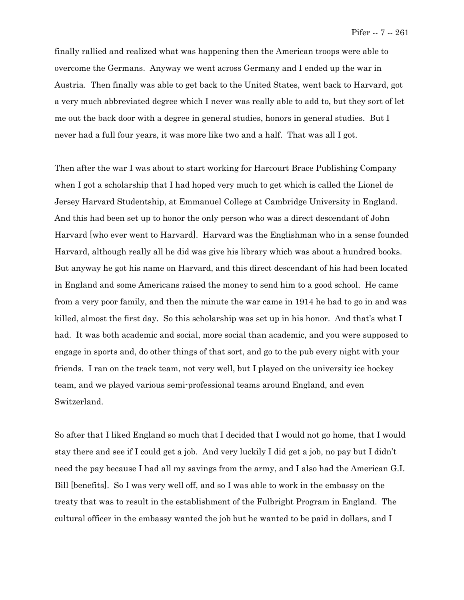finally rallied and realized what was happening then the American troops were able to overcome the Germans. Anyway we went across Germany and I ended up the war in Austria. Then finally was able to get back to the United States, went back to Harvard, got a very much abbreviated degree which I never was really able to add to, but they sort of let me out the back door with a degree in general studies, honors in general studies. But I never had a full four years, it was more like two and a half. That was all I got.

Then after the war I was about to start working for Harcourt Brace Publishing Company when I got a scholarship that I had hoped very much to get which is called the Lionel de Jersey Harvard Studentship, at Emmanuel College at Cambridge University in England. And this had been set up to honor the only person who was a direct descendant of John Harvard [who ever went to Harvard]. Harvard was the Englishman who in a sense founded Harvard, although really all he did was give his library which was about a hundred books. But anyway he got his name on Harvard, and this direct descendant of his had been located in England and some Americans raised the money to send him to a good school. He came from a very poor family, and then the minute the war came in 1914 he had to go in and was killed, almost the first day. So this scholarship was set up in his honor. And that's what I had. It was both academic and social, more social than academic, and you were supposed to engage in sports and, do other things of that sort, and go to the pub every night with your friends. I ran on the track team, not very well, but I played on the university ice hockey team, and we played various semi-professional teams around England, and even Switzerland.

So after that I liked England so much that I decided that I would not go home, that I would stay there and see if I could get a job. And very luckily I did get a job, no pay but I didn't need the pay because I had all my savings from the army, and I also had the American G.I. Bill [benefits]. So I was very well off, and so I was able to work in the embassy on the treaty that was to result in the establishment of the Fulbright Program in England. The cultural officer in the embassy wanted the job but he wanted to be paid in dollars, and I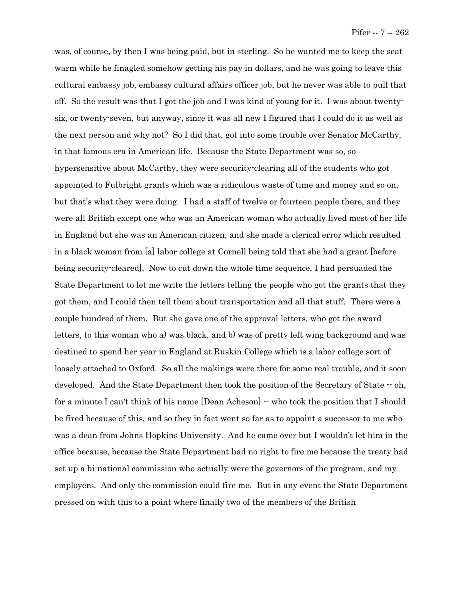was, of course, by then I was being paid, but in sterling. So he wanted me to keep the seat warm while he finagled somehow getting his pay in dollars, and he was going to leave this cultural embassy job, embassy cultural affairs officer job, but he never was able to pull that off. So the result was that I got the job and I was kind of young for it. I was about twentysix, or twenty-seven, but anyway, since it was all new I figured that I could do it as well as the next person and why not? So I did that, got into some trouble over Senator McCarthy, in that famous era in American life. Because the State Department was so, so hypersensitive about McCarthy, they were security-clearing all of the students who got appointed to Fulbright grants which was a ridiculous waste of time and money and so on, but that's what they were doing. I had a staff of twelve or fourteen people there, and they were all British except one who was an American woman who actually lived most of her life in England but she was an American citizen, and she made a clerical error which resulted in a black woman from [a] labor college at Cornell being told that she had a grant [before being security-cleared]. Now to cut down the whole time sequence, I had persuaded the State Department to let me write the letters telling the people who got the grants that they got them, and I could then tell them about transportation and all that stuff. There were a couple hundred of them. But she gave one of the approval letters, who got the award letters, to this woman who a) was black, and b) was of pretty left wing background and was destined to spend her year in England at Ruskin College which is a labor college sort of loosely attached to Oxford. So all the makings were there for some real trouble, and it soon developed. And the State Department then took the position of the Secretary of State  $\cdot$  oh, for a minute I can't think of his name  $[Dean$  Acheson $]$   $\cdot$  who took the position that I should be fired because of this, and so they in fact went so far as to appoint a successor to me who was a dean from Johns Hopkins University. And he came over but I wouldn't let him in the office because, because the State Department had no right to fire me because the treaty had set up a bi-national commission who actually were the governors of the program, and my employers. And only the commission could fire me. But in any event the State Department pressed on with this to a point where finally two of the members of the British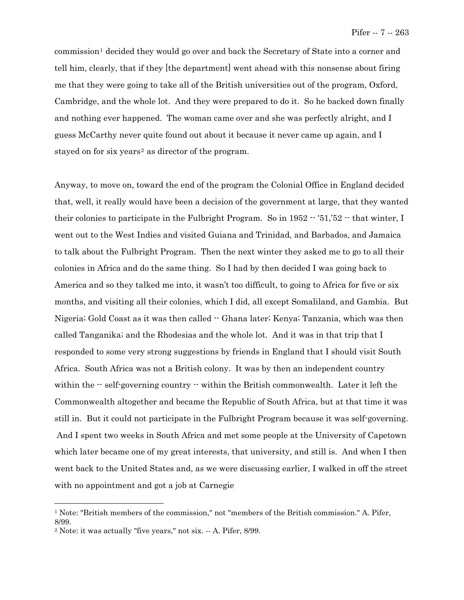commission[1](#page-6-0) decided they would go over and back the Secretary of State into a corner and tell him, clearly, that if they [the department] went ahead with this nonsense about firing me that they were going to take all of the British universities out of the program, Oxford, Cambridge, and the whole lot. And they were prepared to do it. So he backed down finally and nothing ever happened. The woman came over and she was perfectly alright, and I guess McCarthy never quite found out about it because it never came up again, and I stayed on for six years<sup>[2](#page-6-1)</sup> as director of the program.

Anyway, to move on, toward the end of the program the Colonial Office in England decided that, well, it really would have been a decision of the government at large, that they wanted their colonies to participate in the Fulbright Program. So in  $1952 - 51/52 - 1$  that winter, I went out to the West Indies and visited Guiana and Trinidad, and Barbados, and Jamaica to talk about the Fulbright Program. Then the next winter they asked me to go to all their colonies in Africa and do the same thing. So I had by then decided I was going back to America and so they talked me into, it wasn't too difficult, to going to Africa for five or six months, and visiting all their colonies, which I did, all except Somaliland, and Gambia. But Nigeria; Gold Coast as it was then called  $-$  Ghana later; Kenya; Tanzania, which was then called Tanganika; and the Rhodesias and the whole lot. And it was in that trip that I responded to some very strong suggestions by friends in England that I should visit South Africa. South Africa was not a British colony. It was by then an independent country within the  $-$  self-governing country  $-$  within the British commonwealth. Later it left the Commonwealth altogether and became the Republic of South Africa, but at that time it was still in. But it could not participate in the Fulbright Program because it was self-governing. And I spent two weeks in South Africa and met some people at the University of Capetown which later became one of my great interests, that university, and still is. And when I then went back to the United States and, as we were discussing earlier, I walked in off the street with no appointment and got a job at Carnegie

 $\overline{\phantom{0}}$ 

<sup>1</sup> Note: "British members of the commission," not "members of the British commission." A. Pifer, 8/99.

<sup>2</sup> Note: it was actually "five years," not six. -- A. Pifer, 8/99.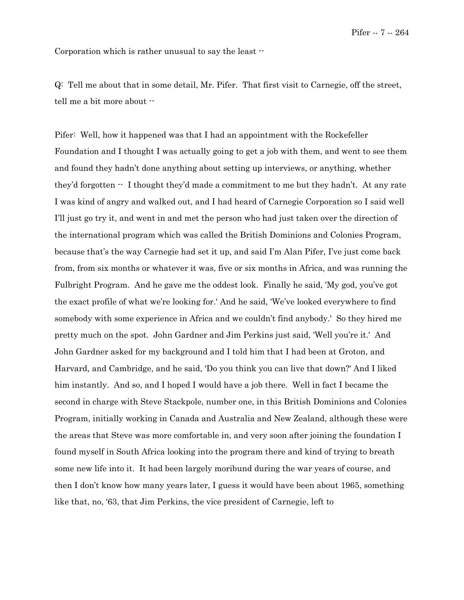Corporation which is rather unusual to say the least --

Q: Tell me about that in some detail, Mr. Pifer. That first visit to Carnegie, off the street, tell me a bit more about --

<span id="page-6-1"></span><span id="page-6-0"></span>Pifer: Well, how it happened was that I had an appointment with the Rockefeller Foundation and I thought I was actually going to get a job with them, and went to see them and found they hadn't done anything about setting up interviews, or anything, whether they'd forgotten -- I thought they'd made a commitment to me but they hadn't. At any rate I was kind of angry and walked out, and I had heard of Carnegie Corporation so I said well I'll just go try it, and went in and met the person who had just taken over the direction of the international program which was called the British Dominions and Colonies Program, because that's the way Carnegie had set it up, and said I'm Alan Pifer, I've just come back from, from six months or whatever it was, five or six months in Africa, and was running the Fulbright Program. And he gave me the oddest look. Finally he said, 'My god, you've got the exact profile of what we're looking for.' And he said, 'We've looked everywhere to find somebody with some experience in Africa and we couldn't find anybody.' So they hired me pretty much on the spot. John Gardner and Jim Perkins just said, 'Well you're it.' And John Gardner asked for my background and I told him that I had been at Groton, and Harvard, and Cambridge, and he said, 'Do you think you can live that down?' And I liked him instantly. And so, and I hoped I would have a job there. Well in fact I became the second in charge with Steve Stackpole, number one, in this British Dominions and Colonies Program, initially working in Canada and Australia and New Zealand, although these were the areas that Steve was more comfortable in, and very soon after joining the foundation I found myself in South Africa looking into the program there and kind of trying to breath some new life into it. It had been largely moribund during the war years of course, and then I don't know how many years later, I guess it would have been about 1965, something like that, no, '63, that Jim Perkins, the vice president of Carnegie, left to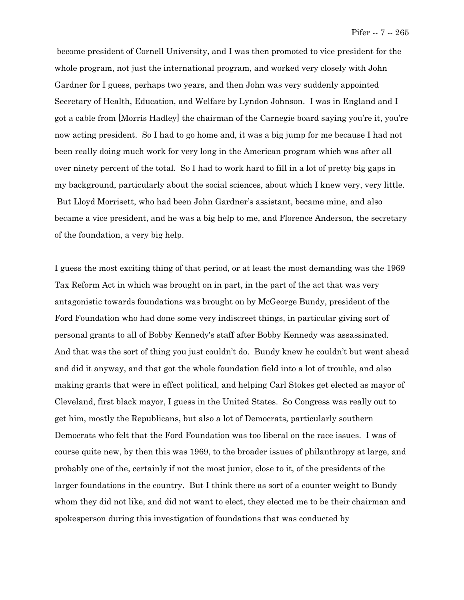become president of Cornell University, and I was then promoted to vice president for the whole program, not just the international program, and worked very closely with John Gardner for I guess, perhaps two years, and then John was very suddenly appointed Secretary of Health, Education, and Welfare by Lyndon Johnson. I was in England and I got a cable from [Morris Hadley] the chairman of the Carnegie board saying you're it, you're now acting president. So I had to go home and, it was a big jump for me because I had not been really doing much work for very long in the American program which was after all over ninety percent of the total. So I had to work hard to fill in a lot of pretty big gaps in my background, particularly about the social sciences, about which I knew very, very little. But Lloyd Morrisett, who had been John Gardner's assistant, became mine, and also became a vice president, and he was a big help to me, and Florence Anderson, the secretary of the foundation, a very big help.

I guess the most exciting thing of that period, or at least the most demanding was the 1969 Tax Reform Act in which was brought on in part, in the part of the act that was very antagonistic towards foundations was brought on by McGeorge Bundy, president of the Ford Foundation who had done some very indiscreet things, in particular giving sort of personal grants to all of Bobby Kennedy's staff after Bobby Kennedy was assassinated. And that was the sort of thing you just couldn't do. Bundy knew he couldn't but went ahead and did it anyway, and that got the whole foundation field into a lot of trouble, and also making grants that were in effect political, and helping Carl Stokes get elected as mayor of Cleveland, first black mayor, I guess in the United States. So Congress was really out to get him, mostly the Republicans, but also a lot of Democrats, particularly southern Democrats who felt that the Ford Foundation was too liberal on the race issues. I was of course quite new, by then this was 1969, to the broader issues of philanthropy at large, and probably one of the, certainly if not the most junior, close to it, of the presidents of the larger foundations in the country. But I think there as sort of a counter weight to Bundy whom they did not like, and did not want to elect, they elected me to be their chairman and spokesperson during this investigation of foundations that was conducted by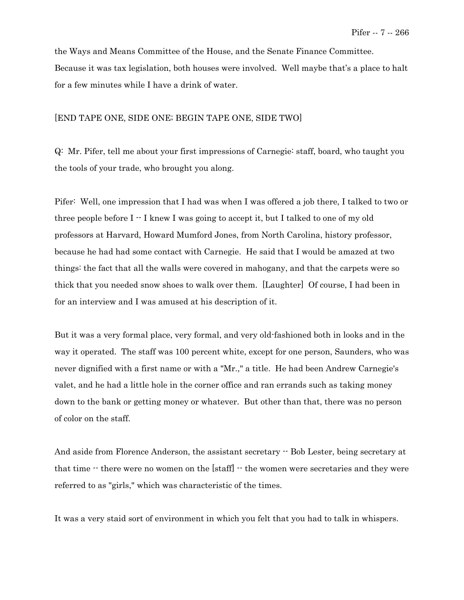the Ways and Means Committee of the House, and the Senate Finance Committee. Because it was tax legislation, both houses were involved. Well maybe that's a place to halt for a few minutes while I have a drink of water.

#### [END TAPE ONE, SIDE ONE; BEGIN TAPE ONE, SIDE TWO]

Q: Mr. Pifer, tell me about your first impressions of Carnegie: staff, board, who taught you the tools of your trade, who brought you along.

Pifer: Well, one impression that I had was when I was offered a job there, I talked to two or three people before  $I - I$  knew I was going to accept it, but I talked to one of my old professors at Harvard, Howard Mumford Jones, from North Carolina, history professor, because he had had some contact with Carnegie. He said that I would be amazed at two things: the fact that all the walls were covered in mahogany, and that the carpets were so thick that you needed snow shoes to walk over them. [Laughter] Of course, I had been in for an interview and I was amused at his description of it.

But it was a very formal place, very formal, and very old-fashioned both in looks and in the way it operated. The staff was 100 percent white, except for one person, Saunders, who was never dignified with a first name or with a "Mr.," a title. He had been Andrew Carnegie's valet, and he had a little hole in the corner office and ran errands such as taking money down to the bank or getting money or whatever. But other than that, there was no person of color on the staff.

And aside from Florence Anderson, the assistant secretary  $-$  Bob Lester, being secretary at that time  $-$  there were no women on the [staff]  $-$  the women were secretaries and they were referred to as "girls," which was characteristic of the times.

It was a very staid sort of environment in which you felt that you had to talk in whispers.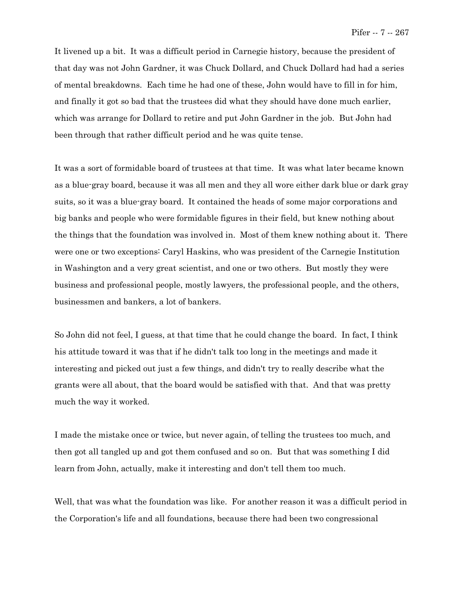It livened up a bit. It was a difficult period in Carnegie history, because the president of that day was not John Gardner, it was Chuck Dollard, and Chuck Dollard had had a series of mental breakdowns. Each time he had one of these, John would have to fill in for him, and finally it got so bad that the trustees did what they should have done much earlier, which was arrange for Dollard to retire and put John Gardner in the job. But John had been through that rather difficult period and he was quite tense.

It was a sort of formidable board of trustees at that time. It was what later became known as a blue-gray board, because it was all men and they all wore either dark blue or dark gray suits, so it was a blue-gray board. It contained the heads of some major corporations and big banks and people who were formidable figures in their field, but knew nothing about the things that the foundation was involved in. Most of them knew nothing about it. There were one or two exceptions: Caryl Haskins, who was president of the Carnegie Institution in Washington and a very great scientist, and one or two others. But mostly they were business and professional people, mostly lawyers, the professional people, and the others, businessmen and bankers, a lot of bankers.

So John did not feel, I guess, at that time that he could change the board. In fact, I think his attitude toward it was that if he didn't talk too long in the meetings and made it interesting and picked out just a few things, and didn't try to really describe what the grants were all about, that the board would be satisfied with that. And that was pretty much the way it worked.

I made the mistake once or twice, but never again, of telling the trustees too much, and then got all tangled up and got them confused and so on. But that was something I did learn from John, actually, make it interesting and don't tell them too much.

Well, that was what the foundation was like. For another reason it was a difficult period in the Corporation's life and all foundations, because there had been two congressional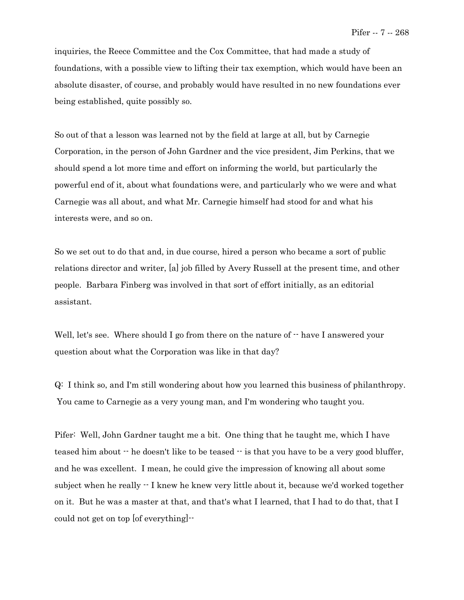inquiries, the Reece Committee and the Cox Committee, that had made a study of foundations, with a possible view to lifting their tax exemption, which would have been an absolute disaster, of course, and probably would have resulted in no new foundations ever being established, quite possibly so.

So out of that a lesson was learned not by the field at large at all, but by Carnegie Corporation, in the person of John Gardner and the vice president, Jim Perkins, that we should spend a lot more time and effort on informing the world, but particularly the powerful end of it, about what foundations were, and particularly who we were and what Carnegie was all about, and what Mr. Carnegie himself had stood for and what his interests were, and so on.

So we set out to do that and, in due course, hired a person who became a sort of public relations director and writer, [a] job filled by Avery Russell at the present time, and other people. Barbara Finberg was involved in that sort of effort initially, as an editorial assistant.

Well, let's see. Where should I go from there on the nature of  $-$  have I answered your question about what the Corporation was like in that day?

Q: I think so, and I'm still wondering about how you learned this business of philanthropy. You came to Carnegie as a very young man, and I'm wondering who taught you.

Pifer: Well, John Gardner taught me a bit. One thing that he taught me, which I have teased him about  $\cdot$  he doesn't like to be teased  $\cdot$  is that you have to be a very good bluffer, and he was excellent. I mean, he could give the impression of knowing all about some subject when he really -- I knew he knew very little about it, because we'd worked together on it. But he was a master at that, and that's what I learned, that I had to do that, that I could not get on top [of everything]--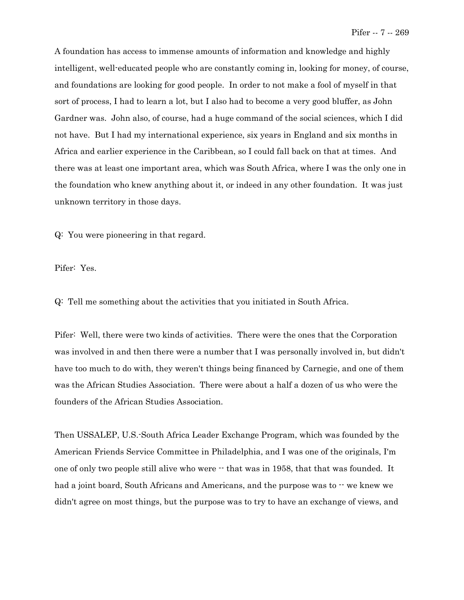A foundation has access to immense amounts of information and knowledge and highly intelligent, well-educated people who are constantly coming in, looking for money, of course, and foundations are looking for good people. In order to not make a fool of myself in that sort of process, I had to learn a lot, but I also had to become a very good bluffer, as John Gardner was. John also, of course, had a huge command of the social sciences, which I did not have. But I had my international experience, six years in England and six months in Africa and earlier experience in the Caribbean, so I could fall back on that at times. And there was at least one important area, which was South Africa, where I was the only one in the foundation who knew anything about it, or indeed in any other foundation. It was just unknown territory in those days.

Q: You were pioneering in that regard.

Pifer: Yes.

Q: Tell me something about the activities that you initiated in South Africa.

Pifer: Well, there were two kinds of activities. There were the ones that the Corporation was involved in and then there were a number that I was personally involved in, but didn't have too much to do with, they weren't things being financed by Carnegie, and one of them was the African Studies Association. There were about a half a dozen of us who were the founders of the African Studies Association.

Then USSALEP, U.S.-South Africa Leader Exchange Program, which was founded by the American Friends Service Committee in Philadelphia, and I was one of the originals, I'm one of only two people still alive who were  $-$  that was in 1958, that that was founded. It had a joint board, South Africans and Americans, and the purpose was to  $\cdot\cdot$  we knew we didn't agree on most things, but the purpose was to try to have an exchange of views, and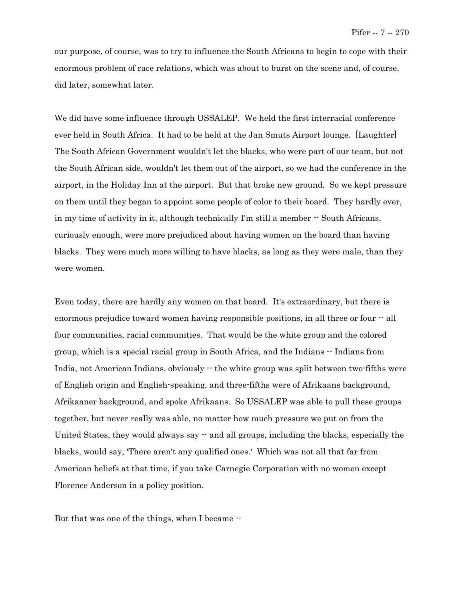our purpose, of course, was to try to influence the South Africans to begin to cope with their enormous problem of race relations, which was about to burst on the scene and, of course, did later, somewhat later.

We did have some influence through USSALEP. We held the first interracial conference ever held in South Africa. It had to be held at the Jan Smuts Airport lounge. [Laughter] The South African Government wouldn't let the blacks, who were part of our team, but not the South African side, wouldn't let them out of the airport, so we had the conference in the airport, in the Holiday Inn at the airport. But that broke new ground. So we kept pressure on them until they began to appoint some people of color to their board. They hardly ever, in my time of activity in it, although technically I'm still a member -- South Africans, curiously enough, were more prejudiced about having women on the board than having blacks. They were much more willing to have blacks, as long as they were male, than they were women.

Even today, there are hardly any women on that board. It's extraordinary, but there is enormous prejudice toward women having responsible positions, in all three or four  $-$  all four communities, racial communities. That would be the white group and the colored group, which is a special racial group in South Africa, and the Indians -- Indians from India, not American Indians, obviously  $\cdot$  the white group was split between two-fifths were of English origin and English-speaking, and three-fifths were of Afrikaans background, Afrikaaner background, and spoke Afrikaans. So USSALEP was able to pull these groups together, but never really was able, no matter how much pressure we put on from the United States, they would always say  $\cdot$  and all groups, including the blacks, especially the blacks, would say, 'There aren't any qualified ones.' Which was not all that far from American beliefs at that time, if you take Carnegie Corporation with no women except Florence Anderson in a policy position.

But that was one of the things, when I became  $-$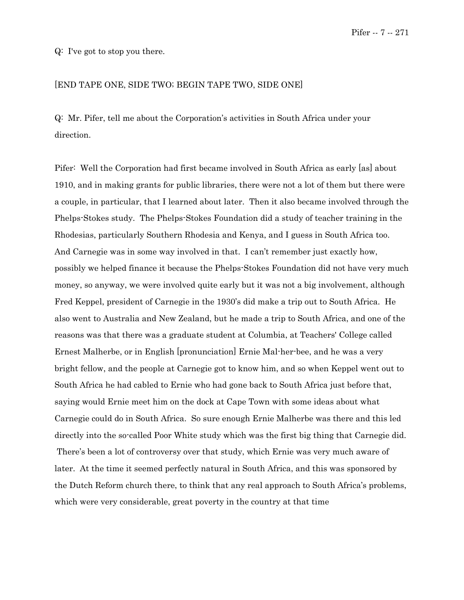Q: I've got to stop you there.

### [END TAPE ONE, SIDE TWO; BEGIN TAPE TWO, SIDE ONE]

Q: Mr. Pifer, tell me about the Corporation's activities in South Africa under your direction.

Pifer: Well the Corporation had first became involved in South Africa as early [as] about 1910, and in making grants for public libraries, there were not a lot of them but there were a couple, in particular, that I learned about later. Then it also became involved through the Phelps-Stokes study. The Phelps-Stokes Foundation did a study of teacher training in the Rhodesias, particularly Southern Rhodesia and Kenya, and I guess in South Africa too. And Carnegie was in some way involved in that. I can't remember just exactly how, possibly we helped finance it because the Phelps-Stokes Foundation did not have very much money, so anyway, we were involved quite early but it was not a big involvement, although Fred Keppel, president of Carnegie in the 1930's did make a trip out to South Africa. He also went to Australia and New Zealand, but he made a trip to South Africa, and one of the reasons was that there was a graduate student at Columbia, at Teachers' College called Ernest Malherbe, or in English [pronunciation] Ernie Mal-her-bee, and he was a very bright fellow, and the people at Carnegie got to know him, and so when Keppel went out to South Africa he had cabled to Ernie who had gone back to South Africa just before that, saying would Ernie meet him on the dock at Cape Town with some ideas about what Carnegie could do in South Africa. So sure enough Ernie Malherbe was there and this led directly into the so-called Poor White study which was the first big thing that Carnegie did. There's been a lot of controversy over that study, which Ernie was very much aware of later. At the time it seemed perfectly natural in South Africa, and this was sponsored by the Dutch Reform church there, to think that any real approach to South Africa's problems, which were very considerable, great poverty in the country at that time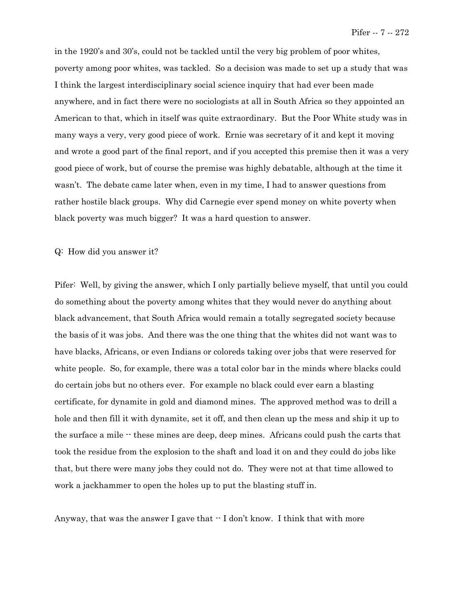in the 1920's and 30's, could not be tackled until the very big problem of poor whites, poverty among poor whites, was tackled. So a decision was made to set up a study that was I think the largest interdisciplinary social science inquiry that had ever been made anywhere, and in fact there were no sociologists at all in South Africa so they appointed an American to that, which in itself was quite extraordinary. But the Poor White study was in many ways a very, very good piece of work. Ernie was secretary of it and kept it moving and wrote a good part of the final report, and if you accepted this premise then it was a very good piece of work, but of course the premise was highly debatable, although at the time it wasn't. The debate came later when, even in my time, I had to answer questions from rather hostile black groups. Why did Carnegie ever spend money on white poverty when black poverty was much bigger? It was a hard question to answer.

#### Q: How did you answer it?

Pifer: Well, by giving the answer, which I only partially believe myself, that until you could do something about the poverty among whites that they would never do anything about black advancement, that South Africa would remain a totally segregated society because the basis of it was jobs. And there was the one thing that the whites did not want was to have blacks, Africans, or even Indians or coloreds taking over jobs that were reserved for white people. So, for example, there was a total color bar in the minds where blacks could do certain jobs but no others ever. For example no black could ever earn a blasting certificate, for dynamite in gold and diamond mines. The approved method was to drill a hole and then fill it with dynamite, set it off, and then clean up the mess and ship it up to the surface a mile  $\cdot$  these mines are deep, deep mines. Africans could push the carts that took the residue from the explosion to the shaft and load it on and they could do jobs like that, but there were many jobs they could not do. They were not at that time allowed to work a jackhammer to open the holes up to put the blasting stuff in.

Anyway, that was the answer I gave that  $\cdot$  I don't know. I think that with more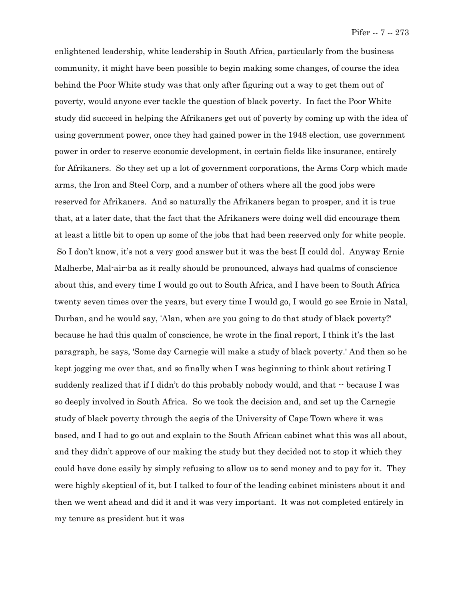enlightened leadership, white leadership in South Africa, particularly from the business community, it might have been possible to begin making some changes, of course the idea behind the Poor White study was that only after figuring out a way to get them out of poverty, would anyone ever tackle the question of black poverty. In fact the Poor White study did succeed in helping the Afrikaners get out of poverty by coming up with the idea of using government power, once they had gained power in the 1948 election, use government power in order to reserve economic development, in certain fields like insurance, entirely for Afrikaners. So they set up a lot of government corporations, the Arms Corp which made arms, the Iron and Steel Corp, and a number of others where all the good jobs were reserved for Afrikaners. And so naturally the Afrikaners began to prosper, and it is true that, at a later date, that the fact that the Afrikaners were doing well did encourage them at least a little bit to open up some of the jobs that had been reserved only for white people. So I don't know, it's not a very good answer but it was the best [I could do]. Anyway Ernie Malherbe, Mal-air-ba as it really should be pronounced, always had qualms of conscience about this, and every time I would go out to South Africa, and I have been to South Africa twenty seven times over the years, but every time I would go, I would go see Ernie in Natal, Durban, and he would say, 'Alan, when are you going to do that study of black poverty?' because he had this qualm of conscience, he wrote in the final report, I think it's the last paragraph, he says, 'Some day Carnegie will make a study of black poverty.' And then so he kept jogging me over that, and so finally when I was beginning to think about retiring I suddenly realized that if I didn't do this probably nobody would, and that  $\cdot$  because I was so deeply involved in South Africa. So we took the decision and, and set up the Carnegie study of black poverty through the aegis of the University of Cape Town where it was based, and I had to go out and explain to the South African cabinet what this was all about, and they didn't approve of our making the study but they decided not to stop it which they could have done easily by simply refusing to allow us to send money and to pay for it. They were highly skeptical of it, but I talked to four of the leading cabinet ministers about it and then we went ahead and did it and it was very important. It was not completed entirely in my tenure as president but it was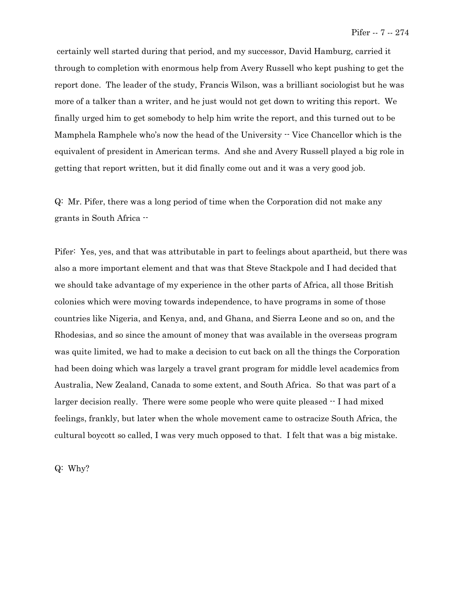certainly well started during that period, and my successor, David Hamburg, carried it through to completion with enormous help from Avery Russell who kept pushing to get the report done. The leader of the study, Francis Wilson, was a brilliant sociologist but he was more of a talker than a writer, and he just would not get down to writing this report. We finally urged him to get somebody to help him write the report, and this turned out to be Mamphela Ramphele who's now the head of the University  $\cdot$  Vice Chancellor which is the equivalent of president in American terms. And she and Avery Russell played a big role in getting that report written, but it did finally come out and it was a very good job.

Q: Mr. Pifer, there was a long period of time when the Corporation did not make any grants in South Africa --

Pifer: Yes, yes, and that was attributable in part to feelings about apartheid, but there was also a more important element and that was that Steve Stackpole and I had decided that we should take advantage of my experience in the other parts of Africa, all those British colonies which were moving towards independence, to have programs in some of those countries like Nigeria, and Kenya, and, and Ghana, and Sierra Leone and so on, and the Rhodesias, and so since the amount of money that was available in the overseas program was quite limited, we had to make a decision to cut back on all the things the Corporation had been doing which was largely a travel grant program for middle level academics from Australia, New Zealand, Canada to some extent, and South Africa. So that was part of a larger decision really. There were some people who were quite pleased  $\cdot$  I had mixed feelings, frankly, but later when the whole movement came to ostracize South Africa, the cultural boycott so called, I was very much opposed to that. I felt that was a big mistake.

Q: Why?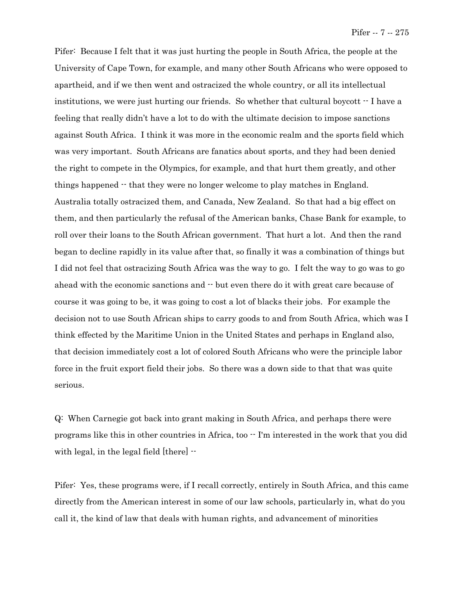Pifer: Because I felt that it was just hurting the people in South Africa, the people at the University of Cape Town, for example, and many other South Africans who were opposed to apartheid, and if we then went and ostracized the whole country, or all its intellectual institutions, we were just hurting our friends. So whether that cultural boycott -- I have a feeling that really didn't have a lot to do with the ultimate decision to impose sanctions against South Africa. I think it was more in the economic realm and the sports field which was very important. South Africans are fanatics about sports, and they had been denied the right to compete in the Olympics, for example, and that hurt them greatly, and other things happened  $\cdot$  that they were no longer welcome to play matches in England. Australia totally ostracized them, and Canada, New Zealand. So that had a big effect on them, and then particularly the refusal of the American banks, Chase Bank for example, to roll over their loans to the South African government. That hurt a lot. And then the rand began to decline rapidly in its value after that, so finally it was a combination of things but I did not feel that ostracizing South Africa was the way to go. I felt the way to go was to go ahead with the economic sanctions and  $\cdot$  but even there do it with great care because of course it was going to be, it was going to cost a lot of blacks their jobs. For example the decision not to use South African ships to carry goods to and from South Africa, which was I think effected by the Maritime Union in the United States and perhaps in England also, that decision immediately cost a lot of colored South Africans who were the principle labor force in the fruit export field their jobs. So there was a down side to that that was quite serious.

Q: When Carnegie got back into grant making in South Africa, and perhaps there were programs like this in other countries in Africa, too -- I'm interested in the work that you did with legal, in the legal field [there]  $-$ 

Pifer: Yes, these programs were, if I recall correctly, entirely in South Africa, and this came directly from the American interest in some of our law schools, particularly in, what do you call it, the kind of law that deals with human rights, and advancement of minorities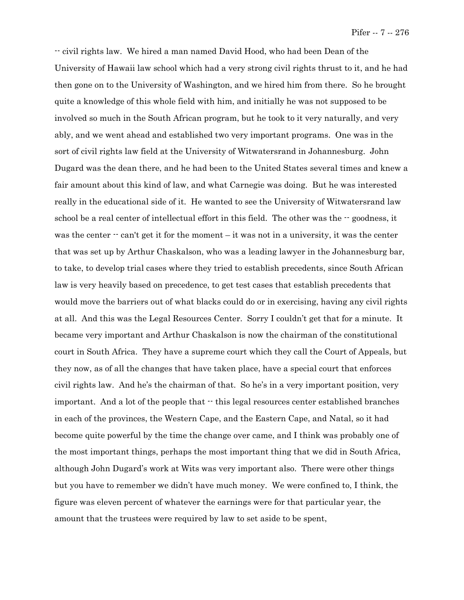-- civil rights law. We hired a man named David Hood, who had been Dean of the University of Hawaii law school which had a very strong civil rights thrust to it, and he had then gone on to the University of Washington, and we hired him from there. So he brought quite a knowledge of this whole field with him, and initially he was not supposed to be involved so much in the South African program, but he took to it very naturally, and very ably, and we went ahead and established two very important programs. One was in the sort of civil rights law field at the University of Witwatersrand in Johannesburg. John Dugard was the dean there, and he had been to the United States several times and knew a fair amount about this kind of law, and what Carnegie was doing. But he was interested really in the educational side of it. He wanted to see the University of Witwatersrand law school be a real center of intellectual effort in this field. The other was the  $-$  goodness, it was the center  $\cdot$  can't get it for the moment – it was not in a university, it was the center that was set up by Arthur Chaskalson, who was a leading lawyer in the Johannesburg bar, to take, to develop trial cases where they tried to establish precedents, since South African law is very heavily based on precedence, to get test cases that establish precedents that would move the barriers out of what blacks could do or in exercising, having any civil rights at all. And this was the Legal Resources Center. Sorry I couldn't get that for a minute. It became very important and Arthur Chaskalson is now the chairman of the constitutional court in South Africa. They have a supreme court which they call the Court of Appeals, but they now, as of all the changes that have taken place, have a special court that enforces civil rights law. And he's the chairman of that. So he's in a very important position, very important. And a lot of the people that  $\cdot\cdot$  this legal resources center established branches in each of the provinces, the Western Cape, and the Eastern Cape, and Natal, so it had become quite powerful by the time the change over came, and I think was probably one of the most important things, perhaps the most important thing that we did in South Africa, although John Dugard's work at Wits was very important also. There were other things but you have to remember we didn't have much money. We were confined to, I think, the figure was eleven percent of whatever the earnings were for that particular year, the amount that the trustees were required by law to set aside to be spent,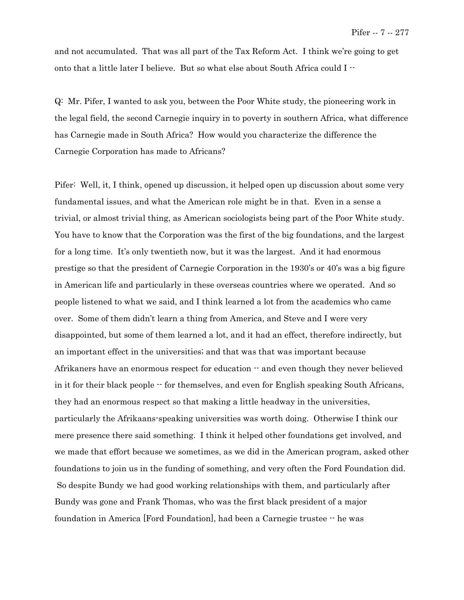and not accumulated. That was all part of the Tax Reform Act. I think we're going to get onto that a little later I believe. But so what else about South Africa could I --

Q: Mr. Pifer, I wanted to ask you, between the Poor White study, the pioneering work in the legal field, the second Carnegie inquiry in to poverty in southern Africa, what difference has Carnegie made in South Africa? How would you characterize the difference the Carnegie Corporation has made to Africans?

Pifer: Well, it, I think, opened up discussion, it helped open up discussion about some very fundamental issues, and what the American role might be in that. Even in a sense a trivial, or almost trivial thing, as American sociologists being part of the Poor White study. You have to know that the Corporation was the first of the big foundations, and the largest for a long time. It's only twentieth now, but it was the largest. And it had enormous prestige so that the president of Carnegie Corporation in the 1930's or 40's was a big figure in American life and particularly in these overseas countries where we operated. And so people listened to what we said, and I think learned a lot from the academics who came over. Some of them didn't learn a thing from America, and Steve and I were very disappointed, but some of them learned a lot, and it had an effect, therefore indirectly, but an important effect in the universities; and that was that was important because Afrikaners have an enormous respect for education  $-$  and even though they never believed in it for their black people -- for themselves, and even for English speaking South Africans, they had an enormous respect so that making a little headway in the universities, particularly the Afrikaans-speaking universities was worth doing. Otherwise I think our mere presence there said something. I think it helped other foundations get involved, and we made that effort because we sometimes, as we did in the American program, asked other foundations to join us in the funding of something, and very often the Ford Foundation did. So despite Bundy we had good working relationships with them, and particularly after Bundy was gone and Frank Thomas, who was the first black president of a major foundation in America [Ford Foundation], had been a Carnegie trustee -- he was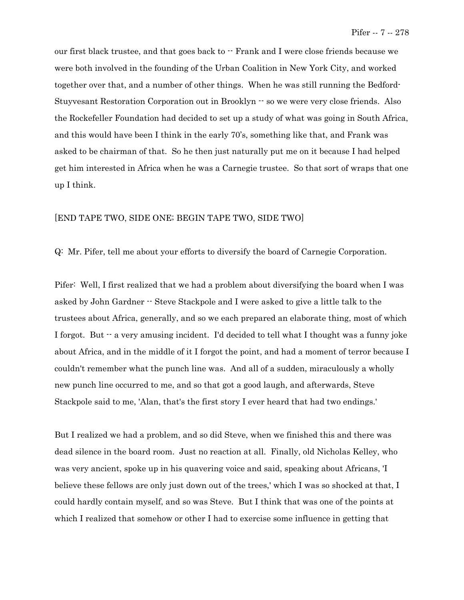our first black trustee, and that goes back to -- Frank and I were close friends because we were both involved in the founding of the Urban Coalition in New York City, and worked together over that, and a number of other things. When he was still running the Bedford-Stuyvesant Restoration Corporation out in Brooklyn -- so we were very close friends. Also the Rockefeller Foundation had decided to set up a study of what was going in South Africa, and this would have been I think in the early 70's, something like that, and Frank was asked to be chairman of that. So he then just naturally put me on it because I had helped get him interested in Africa when he was a Carnegie trustee. So that sort of wraps that one up I think.

## [END TAPE TWO, SIDE ONE; BEGIN TAPE TWO, SIDE TWO]

Q: Mr. Pifer, tell me about your efforts to diversify the board of Carnegie Corporation.

Pifer: Well, I first realized that we had a problem about diversifying the board when I was asked by John Gardner -- Steve Stackpole and I were asked to give a little talk to the trustees about Africa, generally, and so we each prepared an elaborate thing, most of which I forgot. But  $\cdot$  a very amusing incident. I'd decided to tell what I thought was a funny joke about Africa, and in the middle of it I forgot the point, and had a moment of terror because I couldn't remember what the punch line was. And all of a sudden, miraculously a wholly new punch line occurred to me, and so that got a good laugh, and afterwards, Steve Stackpole said to me, 'Alan, that's the first story I ever heard that had two endings.'

But I realized we had a problem, and so did Steve, when we finished this and there was dead silence in the board room. Just no reaction at all. Finally, old Nicholas Kelley, who was very ancient, spoke up in his quavering voice and said, speaking about Africans, 'I believe these fellows are only just down out of the trees,' which I was so shocked at that, I could hardly contain myself, and so was Steve. But I think that was one of the points at which I realized that somehow or other I had to exercise some influence in getting that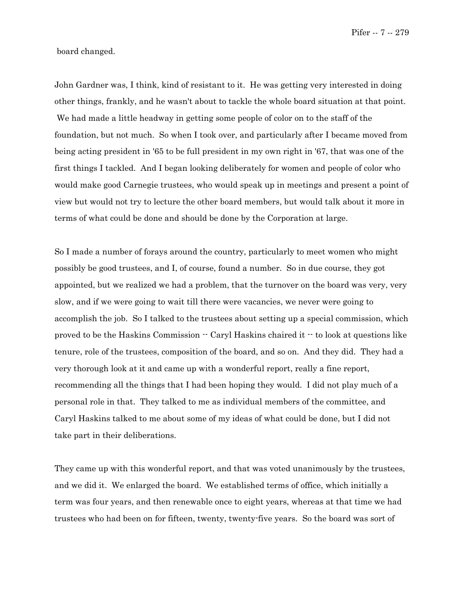Pifer -- 7 -- 279

board changed.

John Gardner was, I think, kind of resistant to it. He was getting very interested in doing other things, frankly, and he wasn't about to tackle the whole board situation at that point. We had made a little headway in getting some people of color on to the staff of the foundation, but not much. So when I took over, and particularly after I became moved from being acting president in '65 to be full president in my own right in '67, that was one of the first things I tackled. And I began looking deliberately for women and people of color who would make good Carnegie trustees, who would speak up in meetings and present a point of view but would not try to lecture the other board members, but would talk about it more in terms of what could be done and should be done by the Corporation at large.

So I made a number of forays around the country, particularly to meet women who might possibly be good trustees, and I, of course, found a number. So in due course, they got appointed, but we realized we had a problem, that the turnover on the board was very, very slow, and if we were going to wait till there were vacancies, we never were going to accomplish the job. So I talked to the trustees about setting up a special commission, which proved to be the Haskins Commission -- Caryl Haskins chaired it -- to look at questions like tenure, role of the trustees, composition of the board, and so on. And they did. They had a very thorough look at it and came up with a wonderful report, really a fine report, recommending all the things that I had been hoping they would. I did not play much of a personal role in that. They talked to me as individual members of the committee, and Caryl Haskins talked to me about some of my ideas of what could be done, but I did not take part in their deliberations.

They came up with this wonderful report, and that was voted unanimously by the trustees, and we did it. We enlarged the board. We established terms of office, which initially a term was four years, and then renewable once to eight years, whereas at that time we had trustees who had been on for fifteen, twenty, twenty-five years. So the board was sort of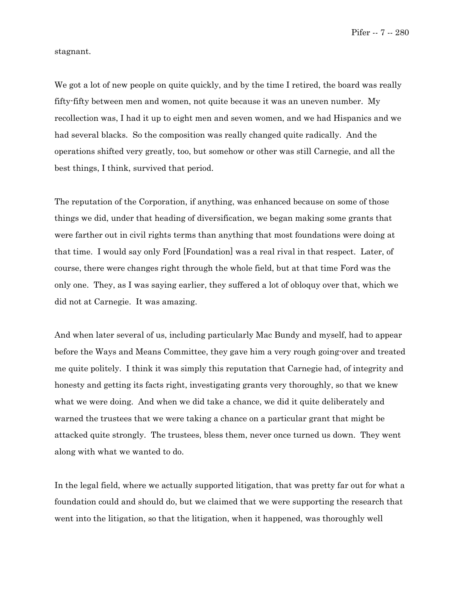Pifer -- 7 -- 280

stagnant.

We got a lot of new people on quite quickly, and by the time I retired, the board was really fifty-fifty between men and women, not quite because it was an uneven number. My recollection was, I had it up to eight men and seven women, and we had Hispanics and we had several blacks. So the composition was really changed quite radically. And the operations shifted very greatly, too, but somehow or other was still Carnegie, and all the best things, I think, survived that period.

The reputation of the Corporation, if anything, was enhanced because on some of those things we did, under that heading of diversification, we began making some grants that were farther out in civil rights terms than anything that most foundations were doing at that time. I would say only Ford [Foundation] was a real rival in that respect. Later, of course, there were changes right through the whole field, but at that time Ford was the only one. They, as I was saying earlier, they suffered a lot of obloquy over that, which we did not at Carnegie. It was amazing.

And when later several of us, including particularly Mac Bundy and myself, had to appear before the Ways and Means Committee, they gave him a very rough going-over and treated me quite politely. I think it was simply this reputation that Carnegie had, of integrity and honesty and getting its facts right, investigating grants very thoroughly, so that we knew what we were doing. And when we did take a chance, we did it quite deliberately and warned the trustees that we were taking a chance on a particular grant that might be attacked quite strongly. The trustees, bless them, never once turned us down. They went along with what we wanted to do.

In the legal field, where we actually supported litigation, that was pretty far out for what a foundation could and should do, but we claimed that we were supporting the research that went into the litigation, so that the litigation, when it happened, was thoroughly well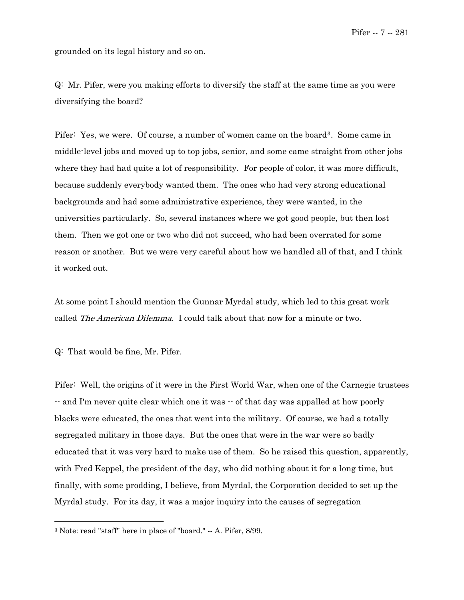Pifer -- 7 -- 281

grounded on its legal history and so on.

Q: Mr. Pifer, were you making efforts to diversify the staff at the same time as you were diversifying the board?

Pifer: Yes, we were. Of course, a number of women came on the board<sup>[3](#page-34-0)</sup>. Some came in middle-level jobs and moved up to top jobs, senior, and some came straight from other jobs where they had had quite a lot of responsibility. For people of color, it was more difficult, because suddenly everybody wanted them. The ones who had very strong educational backgrounds and had some administrative experience, they were wanted, in the universities particularly. So, several instances where we got good people, but then lost them. Then we got one or two who did not succeed, who had been overrated for some reason or another. But we were very careful about how we handled all of that, and I think it worked out.

At some point I should mention the Gunnar Myrdal study, which led to this great work called *The American Dilemma*. I could talk about that now for a minute or two.

Q: That would be fine, Mr. Pifer.

 $\overline{\phantom{0}}$ 

Pifer: Well, the origins of it were in the First World War, when one of the Carnegie trustees -- and I'm never quite clear which one it was -- of that day was appalled at how poorly blacks were educated, the ones that went into the military. Of course, we had a totally segregated military in those days. But the ones that were in the war were so badly educated that it was very hard to make use of them. So he raised this question, apparently, with Fred Keppel, the president of the day, who did nothing about it for a long time, but finally, with some prodding, I believe, from Myrdal, the Corporation decided to set up the Myrdal study. For its day, it was a major inquiry into the causes of segregation

<sup>3</sup> Note: read "staff" here in place of "board." -- A. Pifer, 8/99.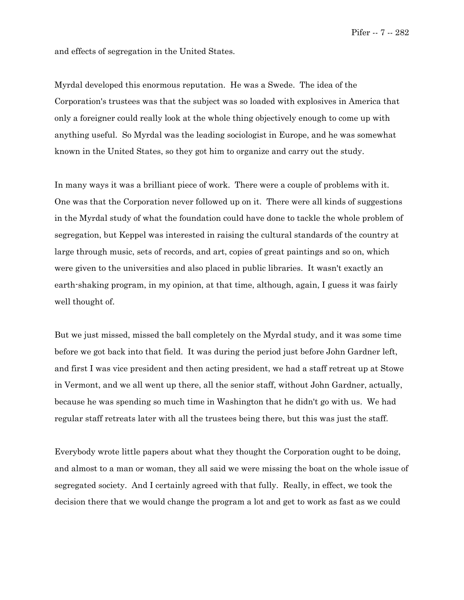and effects of segregation in the United States.

Myrdal developed this enormous reputation. He was a Swede. The idea of the Corporation's trustees was that the subject was so loaded with explosives in America that only a foreigner could really look at the whole thing objectively enough to come up with anything useful. So Myrdal was the leading sociologist in Europe, and he was somewhat known in the United States, so they got him to organize and carry out the study.

In many ways it was a brilliant piece of work. There were a couple of problems with it. One was that the Corporation never followed up on it. There were all kinds of suggestions in the Myrdal study of what the foundation could have done to tackle the whole problem of segregation, but Keppel was interested in raising the cultural standards of the country at large through music, sets of records, and art, copies of great paintings and so on, which were given to the universities and also placed in public libraries. It wasn't exactly an earth-shaking program, in my opinion, at that time, although, again, I guess it was fairly well thought of.

But we just missed, missed the ball completely on the Myrdal study, and it was some time before we got back into that field. It was during the period just before John Gardner left, and first I was vice president and then acting president, we had a staff retreat up at Stowe in Vermont, and we all went up there, all the senior staff, without John Gardner, actually, because he was spending so much time in Washington that he didn't go with us. We had regular staff retreats later with all the trustees being there, but this was just the staff.

Everybody wrote little papers about what they thought the Corporation ought to be doing, and almost to a man or woman, they all said we were missing the boat on the whole issue of segregated society. And I certainly agreed with that fully. Really, in effect, we took the decision there that we would change the program a lot and get to work as fast as we could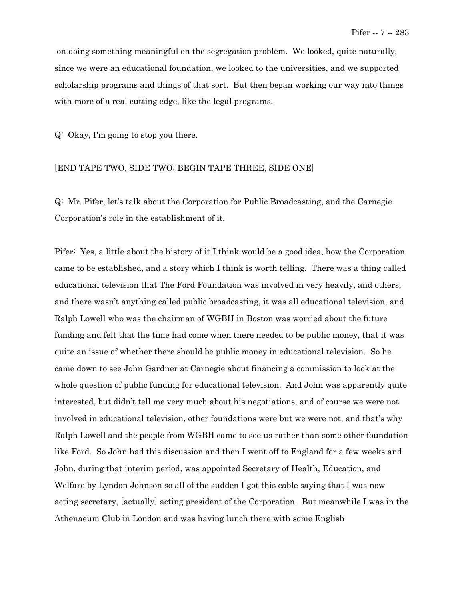on doing something meaningful on the segregation problem. We looked, quite naturally, since we were an educational foundation, we looked to the universities, and we supported scholarship programs and things of that sort. But then began working our way into things with more of a real cutting edge, like the legal programs.

Q: Okay, I'm going to stop you there.

## [END TAPE TWO, SIDE TWO; BEGIN TAPE THREE, SIDE ONE]

Q: Mr. Pifer, let's talk about the Corporation for Public Broadcasting, and the Carnegie Corporation's role in the establishment of it.

Pifer: Yes, a little about the history of it I think would be a good idea, how the Corporation came to be established, and a story which I think is worth telling. There was a thing called educational television that The Ford Foundation was involved in very heavily, and others, and there wasn't anything called public broadcasting, it was all educational television, and Ralph Lowell who was the chairman of WGBH in Boston was worried about the future funding and felt that the time had come when there needed to be public money, that it was quite an issue of whether there should be public money in educational television. So he came down to see John Gardner at Carnegie about financing a commission to look at the whole question of public funding for educational television. And John was apparently quite interested, but didn't tell me very much about his negotiations, and of course we were not involved in educational television, other foundations were but we were not, and that's why Ralph Lowell and the people from WGBH came to see us rather than some other foundation like Ford. So John had this discussion and then I went off to England for a few weeks and John, during that interim period, was appointed Secretary of Health, Education, and Welfare by Lyndon Johnson so all of the sudden I got this cable saying that I was now acting secretary, [actually] acting president of the Corporation. But meanwhile I was in the Athenaeum Club in London and was having lunch there with some English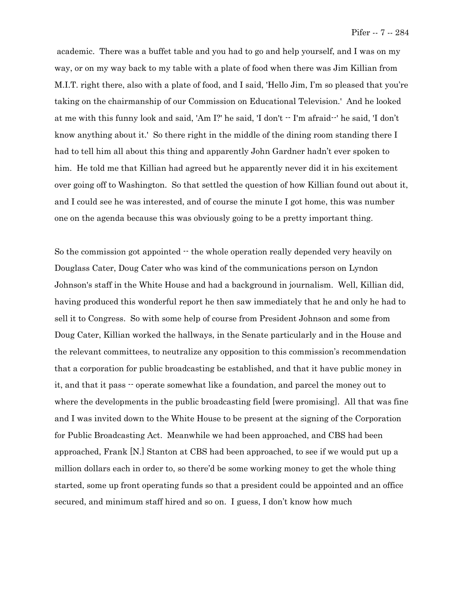academic. There was a buffet table and you had to go and help yourself, and I was on my way, or on my way back to my table with a plate of food when there was Jim Killian from M.I.T. right there, also with a plate of food, and I said, 'Hello Jim, I'm so pleased that you're taking on the chairmanship of our Commission on Educational Television.' And he looked at me with this funny look and said, 'Am I?' he said, 'I don't -- I'm afraid--' he said, 'I don't know anything about it.' So there right in the middle of the dining room standing there I had to tell him all about this thing and apparently John Gardner hadn't ever spoken to him. He told me that Killian had agreed but he apparently never did it in his excitement over going off to Washington. So that settled the question of how Killian found out about it, and I could see he was interested, and of course the minute I got home, this was number one on the agenda because this was obviously going to be a pretty important thing.

So the commission got appointed  $\cdot$  the whole operation really depended very heavily on Douglass Cater, Doug Cater who was kind of the communications person on Lyndon Johnson's staff in the White House and had a background in journalism. Well, Killian did, having produced this wonderful report he then saw immediately that he and only he had to sell it to Congress. So with some help of course from President Johnson and some from Doug Cater, Killian worked the hallways, in the Senate particularly and in the House and the relevant committees, to neutralize any opposition to this commission's recommendation that a corporation for public broadcasting be established, and that it have public money in it, and that it pass -- operate somewhat like a foundation, and parcel the money out to where the developments in the public broadcasting field [were promising]. All that was fine and I was invited down to the White House to be present at the signing of the Corporation for Public Broadcasting Act. Meanwhile we had been approached, and CBS had been approached, Frank [N.] Stanton at CBS had been approached, to see if we would put up a million dollars each in order to, so there'd be some working money to get the whole thing started, some up front operating funds so that a president could be appointed and an office secured, and minimum staff hired and so on. I guess, I don't know how much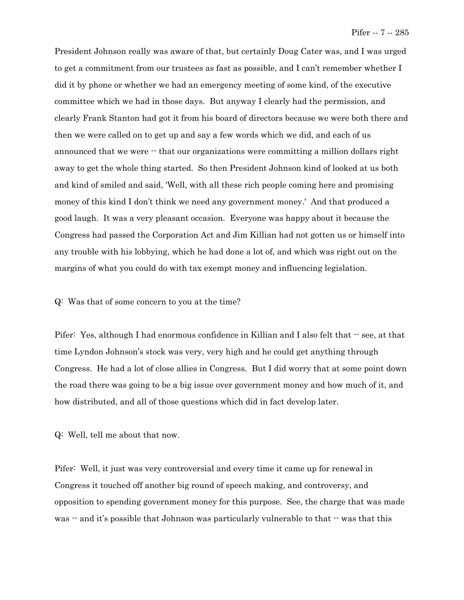President Johnson really was aware of that, but certainly Doug Cater was, and I was urged to get a commitment from our trustees as fast as possible, and I can't remember whether I did it by phone or whether we had an emergency meeting of some kind, of the executive committee which we had in those days. But anyway I clearly had the permission, and clearly Frank Stanton had got it from his board of directors because we were both there and then we were called on to get up and say a few words which we did, and each of us announced that we were -- that our organizations were committing a million dollars right away to get the whole thing started. So then President Johnson kind of looked at us both and kind of smiled and said, 'Well, with all these rich people coming here and promising money of this kind I don't think we need any government money.' And that produced a good laugh. It was a very pleasant occasion. Everyone was happy about it because the Congress had passed the Corporation Act and Jim Killian had not gotten us or himself into any trouble with his lobbying, which he had done a lot of, and which was right out on the margins of what you could do with tax exempt money and influencing legislation.

Q: Was that of some concern to you at the time?

Pifer: Yes, although I had enormous confidence in Killian and I also felt that  $\cdot$  see, at that time Lyndon Johnson's stock was very, very high and he could get anything through Congress. He had a lot of close allies in Congress. But I did worry that at some point down the road there was going to be a big issue over government money and how much of it, and how distributed, and all of those questions which did in fact develop later.

Q: Well, tell me about that now.

Pifer: Well, it just was very controversial and every time it came up for renewal in Congress it touched off another big round of speech making, and controversy, and opposition to spending government money for this purpose. See, the charge that was made was  $\cdot$  and it's possible that Johnson was particularly vulnerable to that  $\cdot$  was that this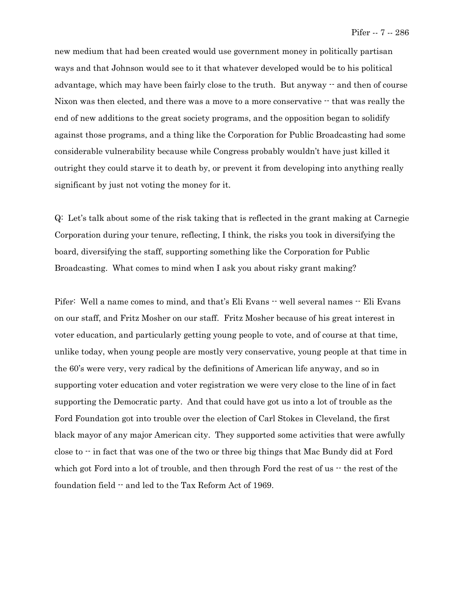new medium that had been created would use government money in politically partisan ways and that Johnson would see to it that whatever developed would be to his political advantage, which may have been fairly close to the truth. But anyway  $-$  and then of course Nixon was then elected, and there was a move to a more conservative  $\cdot$  that was really the end of new additions to the great society programs, and the opposition began to solidify against those programs, and a thing like the Corporation for Public Broadcasting had some considerable vulnerability because while Congress probably wouldn't have just killed it outright they could starve it to death by, or prevent it from developing into anything really significant by just not voting the money for it.

Q: Let's talk about some of the risk taking that is reflected in the grant making at Carnegie Corporation during your tenure, reflecting, I think, the risks you took in diversifying the board, diversifying the staff, supporting something like the Corporation for Public Broadcasting. What comes to mind when I ask you about risky grant making?

Pifer: Well a name comes to mind, and that's Eli Evans -- well several names -- Eli Evans on our staff, and Fritz Mosher on our staff. Fritz Mosher because of his great interest in voter education, and particularly getting young people to vote, and of course at that time, unlike today, when young people are mostly very conservative, young people at that time in the 60's were very, very radical by the definitions of American life anyway, and so in supporting voter education and voter registration we were very close to the line of in fact supporting the Democratic party. And that could have got us into a lot of trouble as the Ford Foundation got into trouble over the election of Carl Stokes in Cleveland, the first black mayor of any major American city. They supported some activities that were awfully close to -- in fact that was one of the two or three big things that Mac Bundy did at Ford which got Ford into a lot of trouble, and then through Ford the rest of us  $\cdot\cdot$  the rest of the foundation field -- and led to the Tax Reform Act of 1969.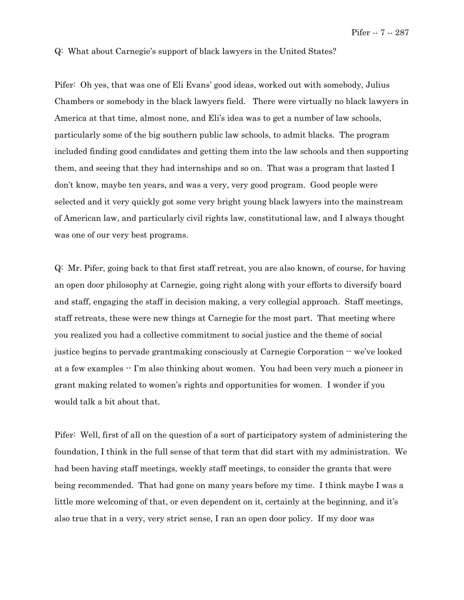### Q: What about Carnegie's support of black lawyers in the United States?

Pifer: Oh yes, that was one of Eli Evans' good ideas, worked out with somebody, Julius Chambers or somebody in the black lawyers field. There were virtually no black lawyers in America at that time, almost none, and Eli's idea was to get a number of law schools, particularly some of the big southern public law schools, to admit blacks. The program included finding good candidates and getting them into the law schools and then supporting them, and seeing that they had internships and so on. That was a program that lasted I don't know, maybe ten years, and was a very, very good program. Good people were selected and it very quickly got some very bright young black lawyers into the mainstream of American law, and particularly civil rights law, constitutional law, and I always thought was one of our very best programs.

Q: Mr. Pifer, going back to that first staff retreat, you are also known, of course, for having an open door philosophy at Carnegie, going right along with your efforts to diversify board and staff, engaging the staff in decision making, a very collegial approach. Staff meetings, staff retreats, these were new things at Carnegie for the most part. That meeting where you realized you had a collective commitment to social justice and the theme of social justice begins to pervade grantmaking consciously at Carnegie Corporation -- we've looked at a few examples -- I'm also thinking about women. You had been very much a pioneer in grant making related to women's rights and opportunities for women. I wonder if you would talk a bit about that.

Pifer: Well, first of all on the question of a sort of participatory system of administering the foundation, I think in the full sense of that term that did start with my administration. We had been having staff meetings, weekly staff meetings, to consider the grants that were being recommended. That had gone on many years before my time. I think maybe I was a little more welcoming of that, or even dependent on it, certainly at the beginning, and it's also true that in a very, very strict sense, I ran an open door policy. If my door was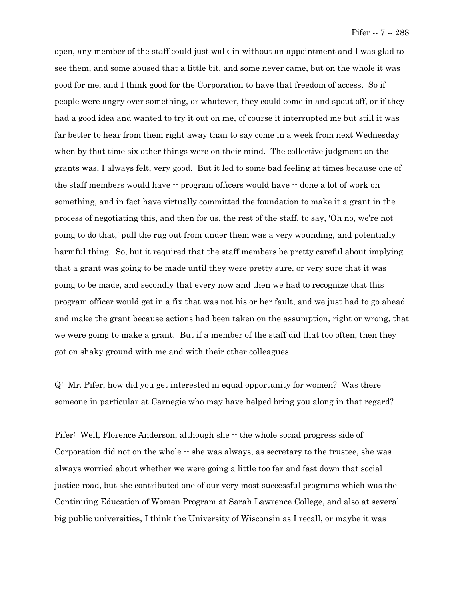open, any member of the staff could just walk in without an appointment and I was glad to see them, and some abused that a little bit, and some never came, but on the whole it was good for me, and I think good for the Corporation to have that freedom of access. So if people were angry over something, or whatever, they could come in and spout off, or if they had a good idea and wanted to try it out on me, of course it interrupted me but still it was far better to hear from them right away than to say come in a week from next Wednesday when by that time six other things were on their mind. The collective judgment on the grants was, I always felt, very good. But it led to some bad feeling at times because one of the staff members would have -- program officers would have -- done a lot of work on something, and in fact have virtually committed the foundation to make it a grant in the process of negotiating this, and then for us, the rest of the staff, to say, 'Oh no, we're not going to do that,' pull the rug out from under them was a very wounding, and potentially harmful thing. So, but it required that the staff members be pretty careful about implying that a grant was going to be made until they were pretty sure, or very sure that it was going to be made, and secondly that every now and then we had to recognize that this program officer would get in a fix that was not his or her fault, and we just had to go ahead and make the grant because actions had been taken on the assumption, right or wrong, that we were going to make a grant. But if a member of the staff did that too often, then they got on shaky ground with me and with their other colleagues.

Q: Mr. Pifer, how did you get interested in equal opportunity for women? Was there someone in particular at Carnegie who may have helped bring you along in that regard?

Pifer: Well, Florence Anderson, although she  $-$  the whole social progress side of Corporation did not on the whole  $\cdot$  she was always, as secretary to the trustee, she was always worried about whether we were going a little too far and fast down that social justice road, but she contributed one of our very most successful programs which was the Continuing Education of Women Program at Sarah Lawrence College, and also at several big public universities, I think the University of Wisconsin as I recall, or maybe it was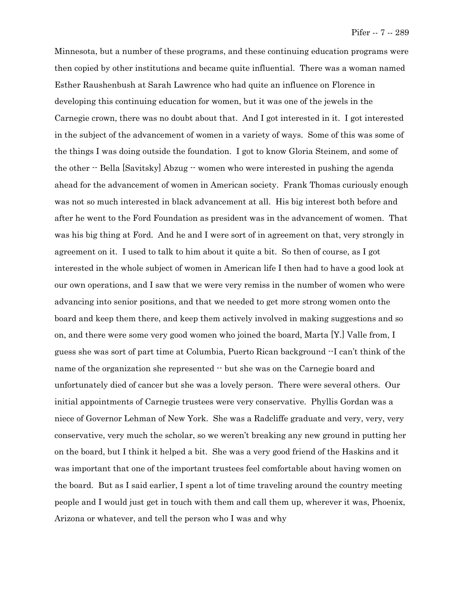Minnesota, but a number of these programs, and these continuing education programs were then copied by other institutions and became quite influential. There was a woman named Esther Raushenbush at Sarah Lawrence who had quite an influence on Florence in developing this continuing education for women, but it was one of the jewels in the Carnegie crown, there was no doubt about that. And I got interested in it. I got interested in the subject of the advancement of women in a variety of ways. Some of this was some of the things I was doing outside the foundation. I got to know Gloria Steinem, and some of the other -- Bella [Savitsky] Abzug -- women who were interested in pushing the agenda ahead for the advancement of women in American society. Frank Thomas curiously enough was not so much interested in black advancement at all. His big interest both before and after he went to the Ford Foundation as president was in the advancement of women. That was his big thing at Ford. And he and I were sort of in agreement on that, very strongly in agreement on it. I used to talk to him about it quite a bit. So then of course, as I got interested in the whole subject of women in American life I then had to have a good look at our own operations, and I saw that we were very remiss in the number of women who were advancing into senior positions, and that we needed to get more strong women onto the board and keep them there, and keep them actively involved in making suggestions and so on, and there were some very good women who joined the board, Marta [Y.] Valle from, I guess she was sort of part time at Columbia, Puerto Rican background --I can't think of the name of the organization she represented  $\cdot$  but she was on the Carnegie board and unfortunately died of cancer but she was a lovely person. There were several others. Our initial appointments of Carnegie trustees were very conservative. Phyllis Gordan was a niece of Governor Lehman of New York. She was a Radcliffe graduate and very, very, very conservative, very much the scholar, so we weren't breaking any new ground in putting her on the board, but I think it helped a bit. She was a very good friend of the Haskins and it was important that one of the important trustees feel comfortable about having women on the board. But as I said earlier, I spent a lot of time traveling around the country meeting people and I would just get in touch with them and call them up, wherever it was, Phoenix, Arizona or whatever, and tell the person who I was and why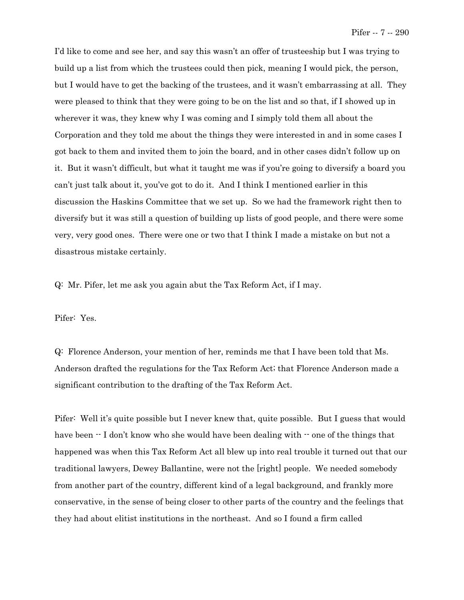I'd like to come and see her, and say this wasn't an offer of trusteeship but I was trying to build up a list from which the trustees could then pick, meaning I would pick, the person, but I would have to get the backing of the trustees, and it wasn't embarrassing at all. They were pleased to think that they were going to be on the list and so that, if I showed up in wherever it was, they knew why I was coming and I simply told them all about the Corporation and they told me about the things they were interested in and in some cases I got back to them and invited them to join the board, and in other cases didn't follow up on it. But it wasn't difficult, but what it taught me was if you're going to diversify a board you can't just talk about it, you've got to do it. And I think I mentioned earlier in this discussion the Haskins Committee that we set up. So we had the framework right then to diversify but it was still a question of building up lists of good people, and there were some very, very good ones. There were one or two that I think I made a mistake on but not a disastrous mistake certainly.

Q: Mr. Pifer, let me ask you again abut the Tax Reform Act, if I may.

Pifer: Yes.

Q: Florence Anderson, your mention of her, reminds me that I have been told that Ms. Anderson drafted the regulations for the Tax Reform Act; that Florence Anderson made a significant contribution to the drafting of the Tax Reform Act.

Pifer: Well it's quite possible but I never knew that, quite possible. But I guess that would have been  $\cdot$  I don't know who she would have been dealing with  $\cdot$  one of the things that happened was when this Tax Reform Act all blew up into real trouble it turned out that our traditional lawyers, Dewey Ballantine, were not the [right] people. We needed somebody from another part of the country, different kind of a legal background, and frankly more conservative, in the sense of being closer to other parts of the country and the feelings that they had about elitist institutions in the northeast. And so I found a firm called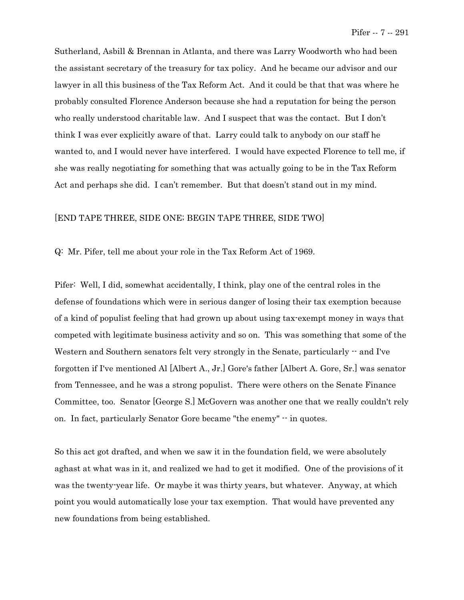Sutherland, Asbill & Brennan in Atlanta, and there was Larry Woodworth who had been the assistant secretary of the treasury for tax policy. And he became our advisor and our lawyer in all this business of the Tax Reform Act. And it could be that that was where he probably consulted Florence Anderson because she had a reputation for being the person who really understood charitable law. And I suspect that was the contact. But I don't think I was ever explicitly aware of that. Larry could talk to anybody on our staff he wanted to, and I would never have interfered. I would have expected Florence to tell me, if she was really negotiating for something that was actually going to be in the Tax Reform Act and perhaps she did. I can't remember. But that doesn't stand out in my mind.

## [END TAPE THREE, SIDE ONE; BEGIN TAPE THREE, SIDE TWO]

Q: Mr. Pifer, tell me about your role in the Tax Reform Act of 1969.

Pifer: Well, I did, somewhat accidentally, I think, play one of the central roles in the defense of foundations which were in serious danger of losing their tax exemption because of a kind of populist feeling that had grown up about using tax-exempt money in ways that competed with legitimate business activity and so on. This was something that some of the Western and Southern senators felt very strongly in the Senate, particularly -- and I've forgotten if I've mentioned Al [Albert A., Jr.] Gore's father [Albert A. Gore, Sr.] was senator from Tennessee, and he was a strong populist. There were others on the Senate Finance Committee, too. Senator [George S.] McGovern was another one that we really couldn't rely on. In fact, particularly Senator Gore became "the enemy" -- in quotes.

So this act got drafted, and when we saw it in the foundation field, we were absolutely aghast at what was in it, and realized we had to get it modified. One of the provisions of it was the twenty-year life. Or maybe it was thirty years, but whatever. Anyway, at which point you would automatically lose your tax exemption. That would have prevented any new foundations from being established.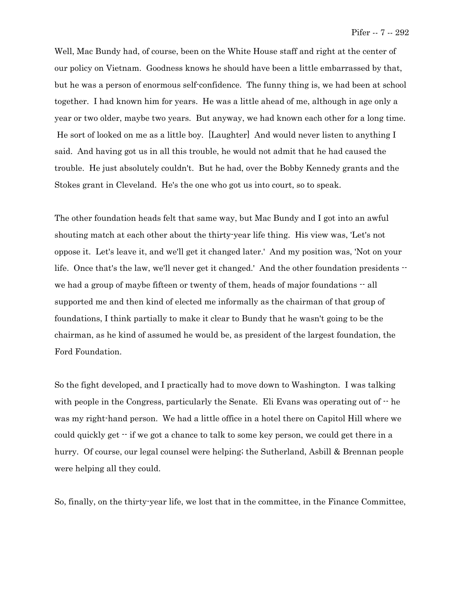Well, Mac Bundy had, of course, been on the White House staff and right at the center of our policy on Vietnam. Goodness knows he should have been a little embarrassed by that, but he was a person of enormous self-confidence. The funny thing is, we had been at school together. I had known him for years. He was a little ahead of me, although in age only a year or two older, maybe two years. But anyway, we had known each other for a long time. He sort of looked on me as a little boy. [Laughter] And would never listen to anything I said. And having got us in all this trouble, he would not admit that he had caused the trouble. He just absolutely couldn't. But he had, over the Bobby Kennedy grants and the Stokes grant in Cleveland. He's the one who got us into court, so to speak.

The other foundation heads felt that same way, but Mac Bundy and I got into an awful shouting match at each other about the thirty-year life thing. His view was, 'Let's not oppose it. Let's leave it, and we'll get it changed later.' And my position was, 'Not on your life. Once that's the law, we'll never get it changed.' And the other foundation presidents  $$ we had a group of maybe fifteen or twenty of them, heads of major foundations  $\cdot$  all supported me and then kind of elected me informally as the chairman of that group of foundations, I think partially to make it clear to Bundy that he wasn't going to be the chairman, as he kind of assumed he would be, as president of the largest foundation, the Ford Foundation.

So the fight developed, and I practically had to move down to Washington. I was talking with people in the Congress, particularly the Senate. Eli Evans was operating out of  $\cdot$  he was my right-hand person. We had a little office in a hotel there on Capitol Hill where we could quickly get  $-$  if we got a chance to talk to some key person, we could get there in a hurry. Of course, our legal counsel were helping; the Sutherland, Asbill & Brennan people were helping all they could.

<span id="page-34-0"></span>So, finally, on the thirty-year life, we lost that in the committee, in the Finance Committee,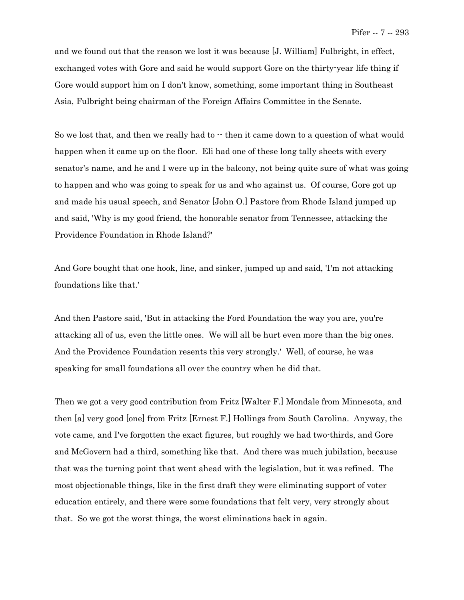and we found out that the reason we lost it was because [J. William] Fulbright, in effect, exchanged votes with Gore and said he would support Gore on the thirty-year life thing if Gore would support him on I don't know, something, some important thing in Southeast Asia, Fulbright being chairman of the Foreign Affairs Committee in the Senate.

So we lost that, and then we really had to  $\cdot\cdot$  then it came down to a question of what would happen when it came up on the floor. Eli had one of these long tally sheets with every senator's name, and he and I were up in the balcony, not being quite sure of what was going to happen and who was going to speak for us and who against us. Of course, Gore got up and made his usual speech, and Senator [John O.] Pastore from Rhode Island jumped up and said, 'Why is my good friend, the honorable senator from Tennessee, attacking the Providence Foundation in Rhode Island?'

And Gore bought that one hook, line, and sinker, jumped up and said, 'I'm not attacking foundations like that.'

And then Pastore said, 'But in attacking the Ford Foundation the way you are, you're attacking all of us, even the little ones. We will all be hurt even more than the big ones. And the Providence Foundation resents this very strongly.' Well, of course, he was speaking for small foundations all over the country when he did that.

Then we got a very good contribution from Fritz [Walter F.] Mondale from Minnesota, and then [a] very good [one] from Fritz [Ernest F.] Hollings from South Carolina. Anyway, the vote came, and I've forgotten the exact figures, but roughly we had two-thirds, and Gore and McGovern had a third, something like that. And there was much jubilation, because that was the turning point that went ahead with the legislation, but it was refined. The most objectionable things, like in the first draft they were eliminating support of voter education entirely, and there were some foundations that felt very, very strongly about that. So we got the worst things, the worst eliminations back in again.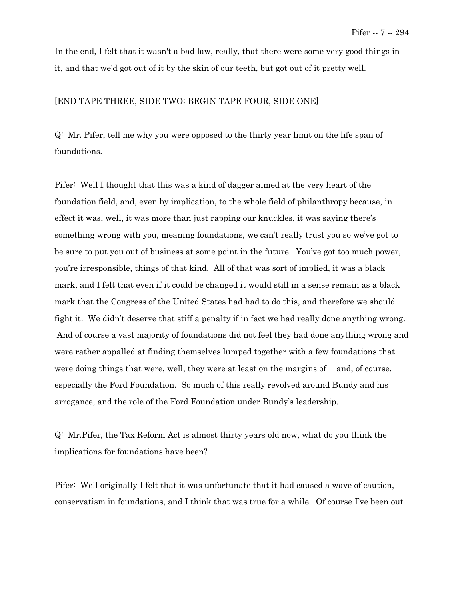In the end, I felt that it wasn't a bad law, really, that there were some very good things in it, and that we'd got out of it by the skin of our teeth, but got out of it pretty well.

# [END TAPE THREE, SIDE TWO; BEGIN TAPE FOUR, SIDE ONE]

Q: Mr. Pifer, tell me why you were opposed to the thirty year limit on the life span of foundations.

Pifer: Well I thought that this was a kind of dagger aimed at the very heart of the foundation field, and, even by implication, to the whole field of philanthropy because, in effect it was, well, it was more than just rapping our knuckles, it was saying there's something wrong with you, meaning foundations, we can't really trust you so we've got to be sure to put you out of business at some point in the future. You've got too much power, you're irresponsible, things of that kind. All of that was sort of implied, it was a black mark, and I felt that even if it could be changed it would still in a sense remain as a black mark that the Congress of the United States had had to do this, and therefore we should fight it. We didn't deserve that stiff a penalty if in fact we had really done anything wrong. And of course a vast majority of foundations did not feel they had done anything wrong and were rather appalled at finding themselves lumped together with a few foundations that were doing things that were, well, they were at least on the margins of  $-$  and, of course, especially the Ford Foundation. So much of this really revolved around Bundy and his arrogance, and the role of the Ford Foundation under Bundy's leadership.

Q: Mr.Pifer, the Tax Reform Act is almost thirty years old now, what do you think the implications for foundations have been?

Pifer: Well originally I felt that it was unfortunate that it had caused a wave of caution, conservatism in foundations, and I think that was true for a while. Of course I've been out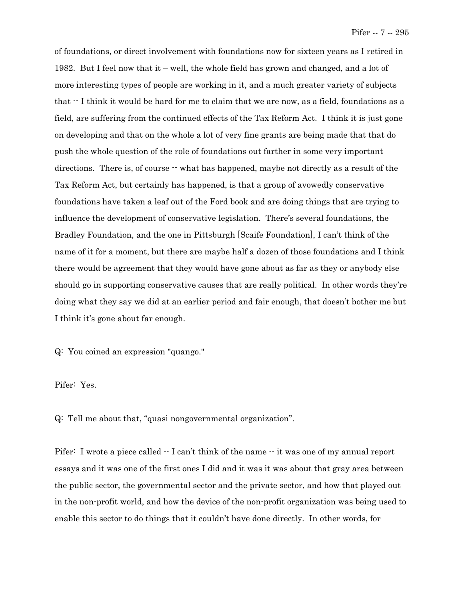of foundations, or direct involvement with foundations now for sixteen years as I retired in 1982. But I feel now that it – well, the whole field has grown and changed, and a lot of more interesting types of people are working in it, and a much greater variety of subjects that -- I think it would be hard for me to claim that we are now, as a field, foundations as a field, are suffering from the continued effects of the Tax Reform Act. I think it is just gone on developing and that on the whole a lot of very fine grants are being made that that do push the whole question of the role of foundations out farther in some very important directions. There is, of course  $\cdot\cdot$  what has happened, maybe not directly as a result of the Tax Reform Act, but certainly has happened, is that a group of avowedly conservative foundations have taken a leaf out of the Ford book and are doing things that are trying to influence the development of conservative legislation. There's several foundations, the Bradley Foundation, and the one in Pittsburgh [Scaife Foundation], I can't think of the name of it for a moment, but there are maybe half a dozen of those foundations and I think there would be agreement that they would have gone about as far as they or anybody else should go in supporting conservative causes that are really political. In other words they're doing what they say we did at an earlier period and fair enough, that doesn't bother me but I think it's gone about far enough.

Q: You coined an expression "quango."

Pifer: Yes.

Q: Tell me about that, "quasi nongovernmental organization".

Pifer: I wrote a piece called  $\cdot$  I can't think of the name  $\cdot$  it was one of my annual report essays and it was one of the first ones I did and it was it was about that gray area between the public sector, the governmental sector and the private sector, and how that played out in the non-profit world, and how the device of the non-profit organization was being used to enable this sector to do things that it couldn't have done directly. In other words, for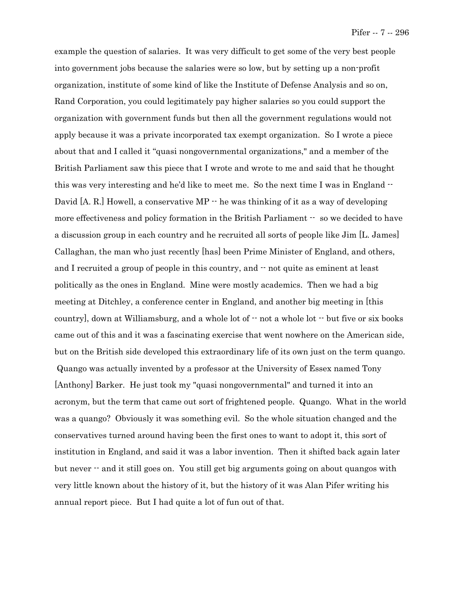example the question of salaries. It was very difficult to get some of the very best people into government jobs because the salaries were so low, but by setting up a non-profit organization, institute of some kind of like the Institute of Defense Analysis and so on, Rand Corporation, you could legitimately pay higher salaries so you could support the organization with government funds but then all the government regulations would not apply because it was a private incorporated tax exempt organization. So I wrote a piece about that and I called it "quasi nongovernmental organizations," and a member of the British Parliament saw this piece that I wrote and wrote to me and said that he thought this was very interesting and he'd like to meet me. So the next time I was in England -- David [A. R.] Howell, a conservative MP  $\cdot$  he was thinking of it as a way of developing more effectiveness and policy formation in the British Parliament  $\cdot$  so we decided to have a discussion group in each country and he recruited all sorts of people like Jim [L. James] Callaghan, the man who just recently [has] been Prime Minister of England, and others, and I recruited a group of people in this country, and  $\cdot$  not quite as eminent at least politically as the ones in England. Mine were mostly academics. Then we had a big meeting at Ditchley, a conference center in England, and another big meeting in [this country], down at Williamsburg, and a whole lot of  $\cdot$  not a whole lot  $\cdot$  but five or six books came out of this and it was a fascinating exercise that went nowhere on the American side, but on the British side developed this extraordinary life of its own just on the term quango. Quango was actually invented by a professor at the University of Essex named Tony [Anthony] Barker. He just took my "quasi nongovernmental" and turned it into an acronym, but the term that came out sort of frightened people. Quango. What in the world was a quango? Obviously it was something evil. So the whole situation changed and the conservatives turned around having been the first ones to want to adopt it, this sort of institution in England, and said it was a labor invention. Then it shifted back again later but never -- and it still goes on. You still get big arguments going on about quangos with very little known about the history of it, but the history of it was Alan Pifer writing his annual report piece. But I had quite a lot of fun out of that.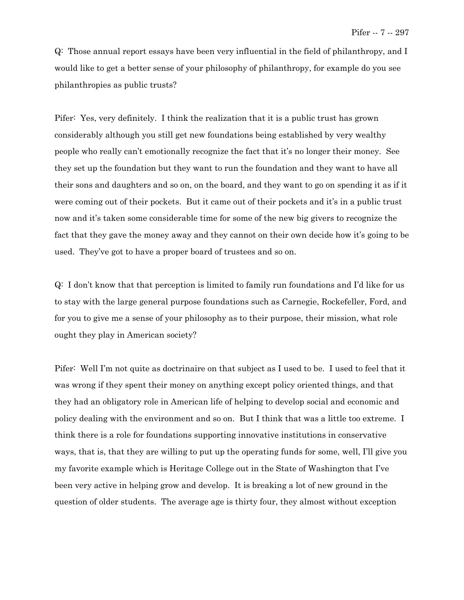Q: Those annual report essays have been very influential in the field of philanthropy, and I would like to get a better sense of your philosophy of philanthropy, for example do you see philanthropies as public trusts?

Pifer: Yes, very definitely. I think the realization that it is a public trust has grown considerably although you still get new foundations being established by very wealthy people who really can't emotionally recognize the fact that it's no longer their money. See they set up the foundation but they want to run the foundation and they want to have all their sons and daughters and so on, on the board, and they want to go on spending it as if it were coming out of their pockets. But it came out of their pockets and it's in a public trust now and it's taken some considerable time for some of the new big givers to recognize the fact that they gave the money away and they cannot on their own decide how it's going to be used. They've got to have a proper board of trustees and so on.

Q: I don't know that that perception is limited to family run foundations and I'd like for us to stay with the large general purpose foundations such as Carnegie, Rockefeller, Ford, and for you to give me a sense of your philosophy as to their purpose, their mission, what role ought they play in American society?

Pifer: Well I'm not quite as doctrinaire on that subject as I used to be. I used to feel that it was wrong if they spent their money on anything except policy oriented things, and that they had an obligatory role in American life of helping to develop social and economic and policy dealing with the environment and so on. But I think that was a little too extreme. I think there is a role for foundations supporting innovative institutions in conservative ways, that is, that they are willing to put up the operating funds for some, well, I'll give you my favorite example which is Heritage College out in the State of Washington that I've been very active in helping grow and develop. It is breaking a lot of new ground in the question of older students. The average age is thirty four, they almost without exception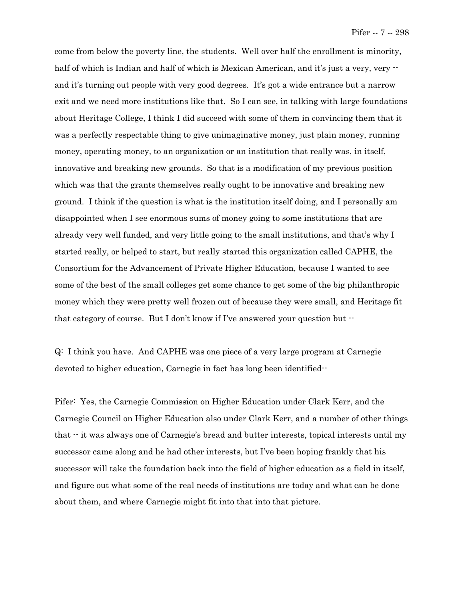come from below the poverty line, the students. Well over half the enrollment is minority, half of which is Indian and half of which is Mexican American, and it's just a very, very  $\cdot$ and it's turning out people with very good degrees. It's got a wide entrance but a narrow exit and we need more institutions like that. So I can see, in talking with large foundations about Heritage College, I think I did succeed with some of them in convincing them that it was a perfectly respectable thing to give unimaginative money, just plain money, running money, operating money, to an organization or an institution that really was, in itself, innovative and breaking new grounds. So that is a modification of my previous position which was that the grants themselves really ought to be innovative and breaking new ground. I think if the question is what is the institution itself doing, and I personally am disappointed when I see enormous sums of money going to some institutions that are already very well funded, and very little going to the small institutions, and that's why I started really, or helped to start, but really started this organization called CAPHE, the Consortium for the Advancement of Private Higher Education, because I wanted to see some of the best of the small colleges get some chance to get some of the big philanthropic money which they were pretty well frozen out of because they were small, and Heritage fit that category of course. But I don't know if I've answered your question but --

Q: I think you have. And CAPHE was one piece of a very large program at Carnegie devoted to higher education, Carnegie in fact has long been identified--

Pifer: Yes, the Carnegie Commission on Higher Education under Clark Kerr, and the Carnegie Council on Higher Education also under Clark Kerr, and a number of other things that  $\cdot\cdot$  it was always one of Carnegie's bread and butter interests, topical interests until my successor came along and he had other interests, but I've been hoping frankly that his successor will take the foundation back into the field of higher education as a field in itself, and figure out what some of the real needs of institutions are today and what can be done about them, and where Carnegie might fit into that into that picture.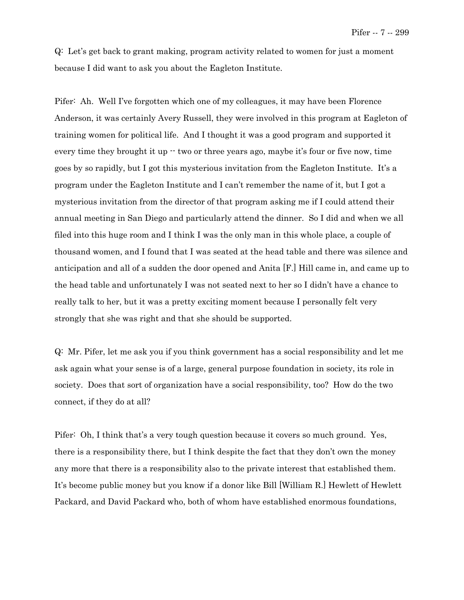Q: Let's get back to grant making, program activity related to women for just a moment because I did want to ask you about the Eagleton Institute.

Pifer: Ah. Well I've forgotten which one of my colleagues, it may have been Florence Anderson, it was certainly Avery Russell, they were involved in this program at Eagleton of training women for political life. And I thought it was a good program and supported it every time they brought it up  $\cdot$  two or three years ago, maybe it's four or five now, time goes by so rapidly, but I got this mysterious invitation from the Eagleton Institute. It's a program under the Eagleton Institute and I can't remember the name of it, but I got a mysterious invitation from the director of that program asking me if I could attend their annual meeting in San Diego and particularly attend the dinner. So I did and when we all filed into this huge room and I think I was the only man in this whole place, a couple of thousand women, and I found that I was seated at the head table and there was silence and anticipation and all of a sudden the door opened and Anita [F.] Hill came in, and came up to the head table and unfortunately I was not seated next to her so I didn't have a chance to really talk to her, but it was a pretty exciting moment because I personally felt very strongly that she was right and that she should be supported.

Q: Mr. Pifer, let me ask you if you think government has a social responsibility and let me ask again what your sense is of a large, general purpose foundation in society, its role in society. Does that sort of organization have a social responsibility, too? How do the two connect, if they do at all?

Pifer: Oh, I think that's a very tough question because it covers so much ground. Yes, there is a responsibility there, but I think despite the fact that they don't own the money any more that there is a responsibility also to the private interest that established them. It's become public money but you know if a donor like Bill [William R.] Hewlett of Hewlett Packard, and David Packard who, both of whom have established enormous foundations,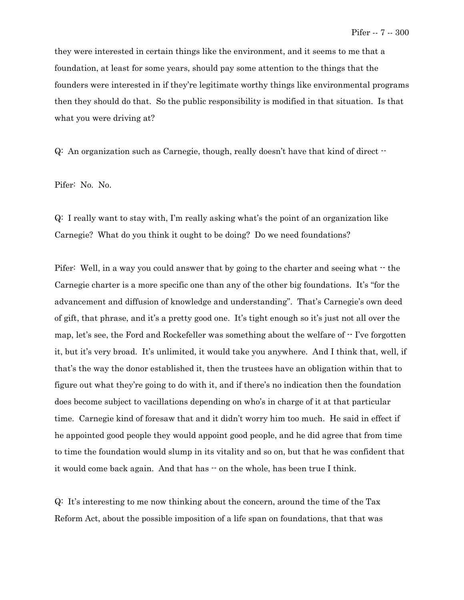they were interested in certain things like the environment, and it seems to me that a foundation, at least for some years, should pay some attention to the things that the founders were interested in if they're legitimate worthy things like environmental programs then they should do that. So the public responsibility is modified in that situation. Is that what you were driving at?

Q: An organization such as Carnegie, though, really doesn't have that kind of direct --

Pifer: No. No.

Q: I really want to stay with, I'm really asking what's the point of an organization like Carnegie? What do you think it ought to be doing? Do we need foundations?

Pifer: Well, in a way you could answer that by going to the charter and seeing what  $\cdot$  the Carnegie charter is a more specific one than any of the other big foundations. It's "for the advancement and diffusion of knowledge and understanding". That's Carnegie's own deed of gift, that phrase, and it's a pretty good one. It's tight enough so it's just not all over the map, let's see, the Ford and Rockefeller was something about the welfare of -- I've forgotten it, but it's very broad. It's unlimited, it would take you anywhere. And I think that, well, if that's the way the donor established it, then the trustees have an obligation within that to figure out what they're going to do with it, and if there's no indication then the foundation does become subject to vacillations depending on who's in charge of it at that particular time. Carnegie kind of foresaw that and it didn't worry him too much. He said in effect if he appointed good people they would appoint good people, and he did agree that from time to time the foundation would slump in its vitality and so on, but that he was confident that it would come back again. And that has  $\cdot$  on the whole, has been true I think.

Q: It's interesting to me now thinking about the concern, around the time of the Tax Reform Act, about the possible imposition of a life span on foundations, that that was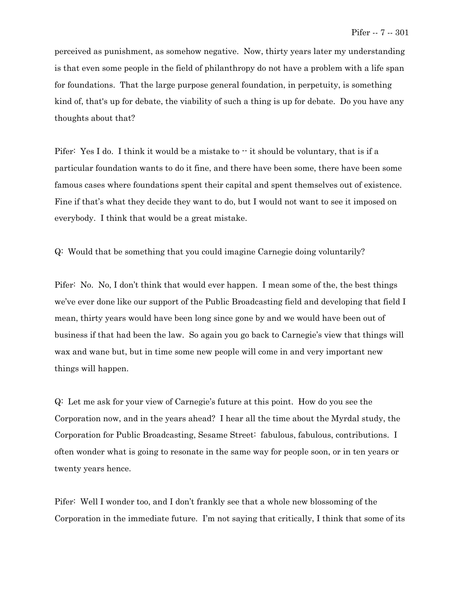perceived as punishment, as somehow negative. Now, thirty years later my understanding is that even some people in the field of philanthropy do not have a problem with a life span for foundations. That the large purpose general foundation, in perpetuity, is something kind of, that's up for debate, the viability of such a thing is up for debate. Do you have any thoughts about that?

Pifer: Yes I do. I think it would be a mistake to  $\cdot$  it should be voluntary, that is if a particular foundation wants to do it fine, and there have been some, there have been some famous cases where foundations spent their capital and spent themselves out of existence. Fine if that's what they decide they want to do, but I would not want to see it imposed on everybody. I think that would be a great mistake.

Q: Would that be something that you could imagine Carnegie doing voluntarily?

Pifer: No. No, I don't think that would ever happen. I mean some of the, the best things we've ever done like our support of the Public Broadcasting field and developing that field I mean, thirty years would have been long since gone by and we would have been out of business if that had been the law. So again you go back to Carnegie's view that things will wax and wane but, but in time some new people will come in and very important new things will happen.

Q: Let me ask for your view of Carnegie's future at this point. How do you see the Corporation now, and in the years ahead? I hear all the time about the Myrdal study, the Corporation for Public Broadcasting, Sesame Street: fabulous, fabulous, contributions. I often wonder what is going to resonate in the same way for people soon, or in ten years or twenty years hence.

Pifer: Well I wonder too, and I don't frankly see that a whole new blossoming of the Corporation in the immediate future. I'm not saying that critically, I think that some of its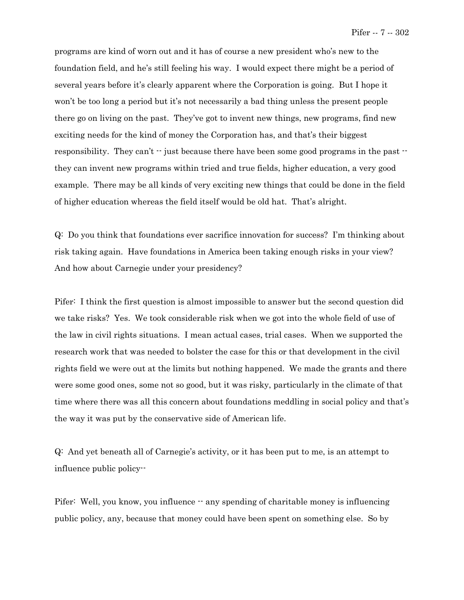programs are kind of worn out and it has of course a new president who's new to the foundation field, and he's still feeling his way. I would expect there might be a period of several years before it's clearly apparent where the Corporation is going. But I hope it won't be too long a period but it's not necessarily a bad thing unless the present people there go on living on the past. They've got to invent new things, new programs, find new exciting needs for the kind of money the Corporation has, and that's their biggest responsibility. They can't  $\cdot\cdot$  just because there have been some good programs in the past  $\cdot\cdot$ they can invent new programs within tried and true fields, higher education, a very good example. There may be all kinds of very exciting new things that could be done in the field of higher education whereas the field itself would be old hat. That's alright.

Q: Do you think that foundations ever sacrifice innovation for success? I'm thinking about risk taking again. Have foundations in America been taking enough risks in your view? And how about Carnegie under your presidency?

Pifer: I think the first question is almost impossible to answer but the second question did we take risks? Yes. We took considerable risk when we got into the whole field of use of the law in civil rights situations. I mean actual cases, trial cases. When we supported the research work that was needed to bolster the case for this or that development in the civil rights field we were out at the limits but nothing happened. We made the grants and there were some good ones, some not so good, but it was risky, particularly in the climate of that time where there was all this concern about foundations meddling in social policy and that's the way it was put by the conservative side of American life.

Q: And yet beneath all of Carnegie's activity, or it has been put to me, is an attempt to influence public policy--

Pifer: Well, you know, you influence  $\cdot$  any spending of charitable money is influencing public policy, any, because that money could have been spent on something else. So by